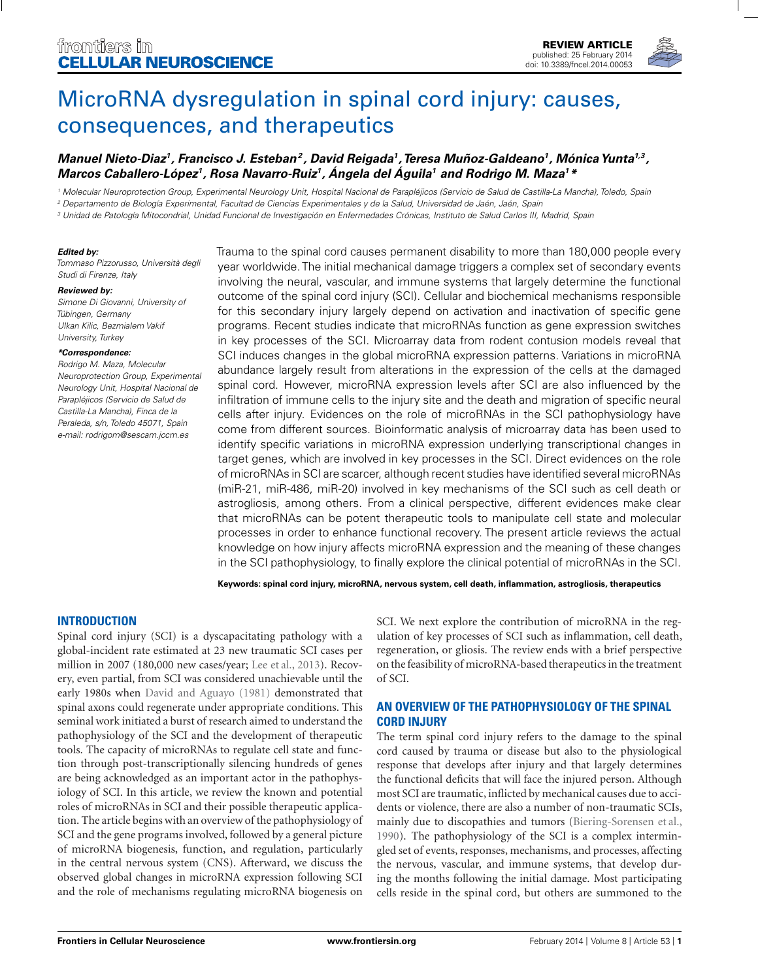

# [MicroRNA dysregulation in spinal cord injury: causes,](http://www.frontiersin.org/journal/10.3389/fncel.2014.00053/abstract) consequences, and therapeutics

## *[Manuel Nieto-Diaz1](http://www.frontiersin.org/people/u/128036), [Francisco J. Esteban](http://community.frontiersin.org/people/u/138101)2 , [David Reigada1](http://community.frontiersin.org/people/u/137339),[Teresa Muñoz-Galdeano1](http://community.frontiersin.org/people/u/138133), MónicaYunta1,3 , Marcos Caballero-López1, Rosa Navarro-Ruiz1, Ángela del Águila1 and [Rodrigo M. Maza1](http://www.frontiersin.org/people/u/97479)\**

<sup>1</sup> Molecular Neuroprotection Group, Experimental Neurology Unit, Hospital Nacional de Parapléjicos (Servicio de Salud de Castilla-La Mancha), Toledo, Spain

<sup>2</sup> Departamento de Biología Experimental, Facultad de Ciencias Experimentales y de la Salud, Universidad de Jaén, Jaén, Spain

<sup>3</sup> Unidad de Patología Mitocondrial, Unidad Funcional de Investigación en Enfermedades Crónicas, Instituto de Salud Carlos III, Madrid, Spain

#### *Edited by:*

Tommaso Pizzorusso, Università degli Studi di Firenze, Italy

#### *Reviewed by:*

Simone Di Giovanni, University of Tübingen, Germany Ulkan Kilic, Bezmialem Vakif University, Turkey

#### *\*Correspondence:*

Rodrigo M. Maza, Molecular Neuroprotection Group, Experimental Neurology Unit, Hospital Nacional de Parapléjicos (Servicio de Salud de Castilla-La Mancha), Finca de la Peraleda, s/n, Toledo 45071, Spain e-mail: [rodrigom@sescam.jccm.es](mailto:rodrigom@sescam.jccm.es)

Trauma to the spinal cord causes permanent disability to more than 180,000 people every year worldwide. The initial mechanical damage triggers a complex set of secondary events involving the neural, vascular, and immune systems that largely determine the functional outcome of the spinal cord injury (SCI). Cellular and biochemical mechanisms responsible for this secondary injury largely depend on activation and inactivation of specific gene programs. Recent studies indicate that microRNAs function as gene expression switches in key processes of the SCI. Microarray data from rodent contusion models reveal that SCI induces changes in the global microRNA expression patterns. Variations in microRNA abundance largely result from alterations in the expression of the cells at the damaged spinal cord. However, microRNA expression levels after SCI are also influenced by the infiltration of immune cells to the injury site and the death and migration of specific neural cells after injury. Evidences on the role of microRNAs in the SCI pathophysiology have come from different sources. Bioinformatic analysis of microarray data has been used to identify specific variations in microRNA expression underlying transcriptional changes in target genes, which are involved in key processes in the SCI. Direct evidences on the role of microRNAs in SCI are scarcer, although recent studies have identified several microRNAs (miR-21, miR-486, miR-20) involved in key mechanisms of the SCI such as cell death or astrogliosis, among others. From a clinical perspective, different evidences make clear that microRNAs can be potent therapeutic tools to manipulate cell state and molecular processes in order to enhance functional recovery. The present article reviews the actual knowledge on how injury affects microRNA expression and the meaning of these changes in the SCI pathophysiology, to finally explore the clinical potential of microRNAs in the SCI.

**Keywords: spinal cord injury, microRNA, nervous system, cell death, inflammation, astrogliosis, therapeutics**

## **INTRODUCTION**

Spinal cord injury (SCI) is a dyscapacitating pathology with a global-incident rate estimated at 23 new traumatic SCI cases per million in 2007 (180,000 new cases/year; [Lee et al., 2013\)](#page-16-0). Recovery, even partial, from SCI was considered unachievable until the early 1980s when [David and Aguayo](#page-14-0) [\(1981\)](#page-14-0) demonstrated that spinal axons could regenerate under appropriate conditions. This seminal work initiated a burst of research aimed to understand the pathophysiology of the SCI and the development of therapeutic tools. The capacity of microRNAs to regulate cell state and function through post-transcriptionally silencing hundreds of genes are being acknowledged as an important actor in the pathophysiology of SCI. In this article, we review the known and potential roles of microRNAs in SCI and their possible therapeutic application. The article begins with an overview of the pathophysiology of SCI and the gene programs involved, followed by a general picture of microRNA biogenesis, function, and regulation, particularly in the central nervous system (CNS). Afterward, we discuss the observed global changes in microRNA expression following SCI and the role of mechanisms regulating microRNA biogenesis on SCI. We next explore the contribution of microRNA in the regulation of key processes of SCI such as inflammation, cell death, regeneration, or gliosis. The review ends with a brief perspective on the feasibility of microRNA-based therapeutics in the treatment of SCI.

## **AN OVERVIEW OF THE PATHOPHYSIOLOGY OF THE SPINAL CORD INJURY**

The term spinal cord injury refers to the damage to the spinal cord caused by trauma or disease but also to the physiological response that develops after injury and that largely determines the functional deficits that will face the injured person. Although most SCI are traumatic, inflicted by mechanical causes due to accidents or violence, there are also a number of non-traumatic SCIs, mainly due to discopathies and tumors [\(Biering-Sorensen et al.,](#page-14-0) [1990](#page-14-0)). The pathophysiology of the SCI is a complex intermingled set of events, responses, mechanisms, and processes, affecting the nervous, vascular, and immune systems, that develop during the months following the initial damage. Most participating cells reside in the spinal cord, but others are summoned to the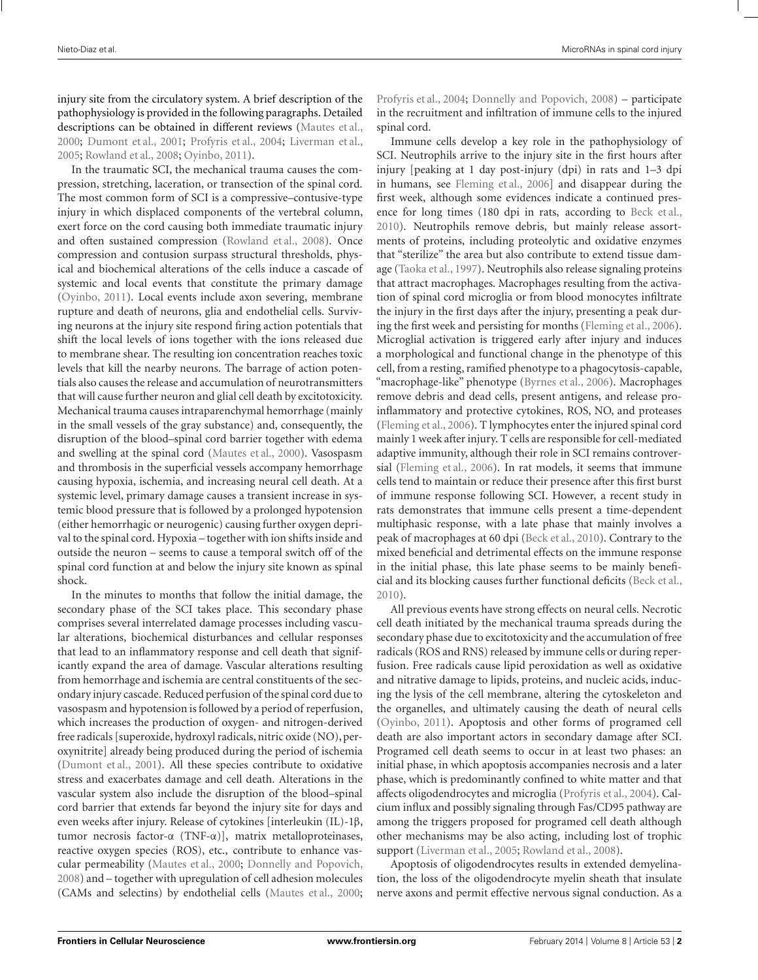injury site from the circulatory system. A brief description of the pathophysiology is provided in the following paragraphs. Detailed descriptions can be obtained in different reviews [\(Mautes et al.,](#page-16-0) [2000;](#page-16-0) [Dumont et al.](#page-15-0), [2001;](#page-15-0) [Profyris et al.](#page-17-0), [2004;](#page-17-0) [Liverman et al.,](#page-16-0) [2005;](#page-16-0) [Rowland et al., 2008](#page-17-0); [Oyinbo, 2011\)](#page-16-0).

In the traumatic SCI, the mechanical trauma causes the compression, stretching, laceration, or transection of the spinal cord. The most common form of SCI is a compressive–contusive-type injury in which displaced components of the vertebral column, exert force on the cord causing both immediate traumatic injury and often sustained compression [\(Rowland et al.](#page-17-0), [2008](#page-17-0)). Once compression and contusion surpass structural thresholds, physical and biochemical alterations of the cells induce a cascade of systemic and local events that constitute the primary damage [\(Oyinbo, 2011](#page-16-0)). Local events include axon severing, membrane rupture and death of neurons, glia and endothelial cells. Surviving neurons at the injury site respond firing action potentials that shift the local levels of ions together with the ions released due to membrane shear. The resulting ion concentration reaches toxic levels that kill the nearby neurons. The barrage of action potentials also causes the release and accumulation of neurotransmitters that will cause further neuron and glial cell death by excitotoxicity. Mechanical trauma causes intraparenchymal hemorrhage (mainly in the small vessels of the gray substance) and, consequently, the disruption of the blood–spinal cord barrier together with edema and swelling at the spinal cord [\(Mautes et al.](#page-16-0), [2000\)](#page-16-0). Vasospasm and thrombosis in the superficial vessels accompany hemorrhage causing hypoxia, ischemia, and increasing neural cell death. At a systemic level, primary damage causes a transient increase in systemic blood pressure that is followed by a prolonged hypotension (either hemorrhagic or neurogenic) causing further oxygen deprival to the spinal cord. Hypoxia – together with ion shifts inside and outside the neuron – seems to cause a temporal switch off of the spinal cord function at and below the injury site known as spinal shock.

In the minutes to months that follow the initial damage, the secondary phase of the SCI takes place. This secondary phase comprises several interrelated damage processes including vascular alterations, biochemical disturbances and cellular responses that lead to an inflammatory response and cell death that significantly expand the area of damage. Vascular alterations resulting from hemorrhage and ischemia are central constituents of the secondary injury cascade. Reduced perfusion of the spinal cord due to vasospasm and hypotension is followed by a period of reperfusion, which increases the production of oxygen- and nitrogen-derived free radicals [superoxide, hydroxyl radicals, nitric oxide (NO), peroxynitrite] already being produced during the period of ischemia [\(Dumont et al., 2001](#page-15-0)). All these species contribute to oxidative stress and exacerbates damage and cell death. Alterations in the vascular system also include the disruption of the blood–spinal cord barrier that extends far beyond the injury site for days and even weeks after injury. Release of cytokines [interleukin (IL)-1β, tumor necrosis factor-α (TNF-α)], matrix metalloproteinases, reactive oxygen species (ROS), etc., contribute to enhance vascular permeability [\(Mautes et al.](#page-16-0), [2000](#page-16-0); [Donnelly and Popovich,](#page-15-0) [2008\)](#page-15-0) and – together with upregulation of cell adhesion molecules (CAMs and selectins) by endothelial cells [\(Mautes et al., 2000;](#page-16-0) [Profyris et al., 2004](#page-17-0); [Donnelly and Popovich, 2008\)](#page-15-0) – participate in the recruitment and infiltration of immune cells to the injured spinal cord.

Immune cells develop a key role in the pathophysiology of SCI. Neutrophils arrive to the injury site in the first hours after injury [peaking at 1 day post-injury (dpi) in rats and 1–3 dpi in humans, see [Fleming et al.](#page-15-0), [2006\]](#page-15-0) and disappear during the first week, although some evidences indicate a continued presence for long times (180 dpi in rats, according to [Beck et al.,](#page-14-0) [2010](#page-14-0)). Neutrophils remove debris, but mainly release assortments of proteins, including proteolytic and oxidative enzymes that "sterilize" the area but also contribute to extend tissue damage [\(Taoka et al., 1997\)](#page-17-0). Neutrophils also release signaling proteins that attract macrophages. Macrophages resulting from the activation of spinal cord microglia or from blood monocytes infiltrate the injury in the first days after the injury, presenting a peak during the first week and persisting for months [\(Fleming et al.](#page-15-0), [2006](#page-15-0)). Microglial activation is triggered early after injury and induces a morphological and functional change in the phenotype of this cell, from a resting, ramified phenotype to a phagocytosis-capable, "macrophage-like" phenotype [\(Byrnes et al.](#page-14-0), [2006\)](#page-14-0). Macrophages remove debris and dead cells, present antigens, and release proinflammatory and protective cytokines, ROS, NO, and proteases [\(Fleming et al., 2006\)](#page-15-0). T lymphocytes enter the injured spinal cord mainly 1 week after injury. T cells are responsible for cell-mediated adaptive immunity, although their role in SCI remains controversial [\(Fleming et al., 2006](#page-15-0)). In rat models, it seems that immune cells tend to maintain or reduce their presence after this first burst of immune response following SCI. However, a recent study in rats demonstrates that immune cells present a time-dependent multiphasic response, with a late phase that mainly involves a peak of macrophages at 60 dpi [\(Beck et al.](#page-14-0), [2010](#page-14-0)). Contrary to the mixed beneficial and detrimental effects on the immune response in the initial phase, this late phase seems to be mainly beneficial and its blocking causes further functional deficits [\(Beck et al.,](#page-14-0) [2010](#page-14-0)).

All previous events have strong effects on neural cells. Necrotic cell death initiated by the mechanical trauma spreads during the secondary phase due to excitotoxicity and the accumulation of free radicals (ROS and RNS) released by immune cells or during reperfusion. Free radicals cause lipid peroxidation as well as oxidative and nitrative damage to lipids, proteins, and nucleic acids, inducing the lysis of the cell membrane, altering the cytoskeleton and the organelles, and ultimately causing the death of neural cells [\(Oyinbo, 2011\)](#page-16-0). Apoptosis and other forms of programed cell death are also important actors in secondary damage after SCI. Programed cell death seems to occur in at least two phases: an initial phase, in which apoptosis accompanies necrosis and a later phase, which is predominantly confined to white matter and that affects oligodendrocytes and microglia [\(Profyris et al., 2004\)](#page-17-0). Calcium influx and possibly signaling through Fas/CD95 pathway are among the triggers proposed for programed cell death although other mechanisms may be also acting, including lost of trophic support [\(Liverman et al., 2005;](#page-16-0) [Rowland et al.](#page-17-0), [2008\)](#page-17-0).

Apoptosis of oligodendrocytes results in extended demyelination, the loss of the oligodendrocyte myelin sheath that insulate nerve axons and permit effective nervous signal conduction. As a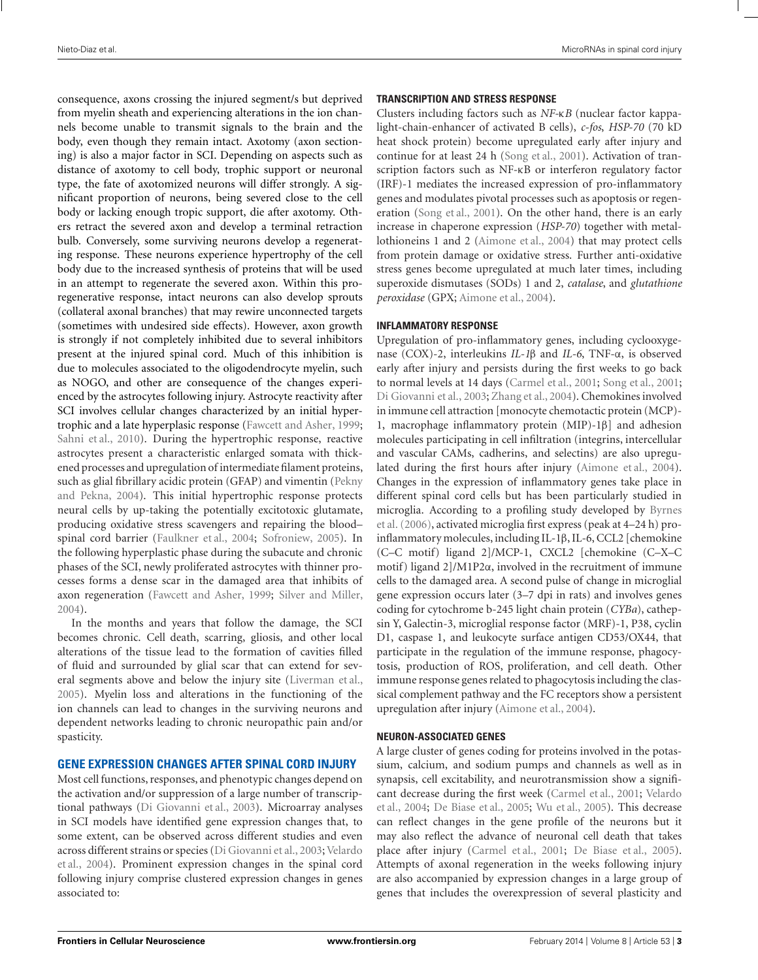consequence, axons crossing the injured segment/s but deprived from myelin sheath and experiencing alterations in the ion channels become unable to transmit signals to the brain and the body, even though they remain intact. Axotomy (axon sectioning) is also a major factor in SCI. Depending on aspects such as distance of axotomy to cell body, trophic support or neuronal type, the fate of axotomized neurons will differ strongly. A significant proportion of neurons, being severed close to the cell body or lacking enough tropic support, die after axotomy. Others retract the severed axon and develop a terminal retraction bulb. Conversely, some surviving neurons develop a regenerating response. These neurons experience hypertrophy of the cell body due to the increased synthesis of proteins that will be used in an attempt to regenerate the severed axon. Within this proregenerative response, intact neurons can also develop sprouts (collateral axonal branches) that may rewire unconnected targets (sometimes with undesired side effects). However, axon growth is strongly if not completely inhibited due to several inhibitors present at the injured spinal cord. Much of this inhibition is due to molecules associated to the oligodendrocyte myelin, such as NOGO, and other are consequence of the changes experienced by the astrocytes following injury. Astrocyte reactivity after SCI involves cellular changes characterized by an initial hypertrophic and a late hyperplasic response [\(Fawcett and Asher](#page-15-0), [1999;](#page-15-0) [Sahni et al., 2010\)](#page-17-0). During the hypertrophic response, reactive astrocytes present a characteristic enlarged somata with thickened processes and upregulation of intermediate filament proteins, such as gli[al fibrillary acidic protein \(GFAP\) and vimentin \(](#page-16-0)Pekny and Pekna, [2004](#page-16-0)). This initial hypertrophic response protects neural cells by up-taking the potentially excitotoxic glutamate, producing oxidative stress scavengers and repairing the blood– spinal cord barrier [\(Faulkner et al.](#page-15-0), [2004](#page-15-0); [Sofroniew, 2005](#page-17-0)). In the following hyperplastic phase during the subacute and chronic phases of the SCI, newly proliferated astrocytes with thinner processes forms a dense scar in the damaged area that inhibits of axon regeneration [\(Fawcett and Asher](#page-15-0), [1999;](#page-15-0) [Silver and Miller,](#page-17-0) [2004\)](#page-17-0).

In the months and years that follow the damage, the SCI becomes chronic. Cell death, scarring, gliosis, and other local alterations of the tissue lead to the formation of cavities filled of fluid and surrounded by glial scar that can extend for several segments above and below the injury site [\(Liverman et al.,](#page-16-0) [2005\)](#page-16-0). Myelin loss and alterations in the functioning of the ion channels can lead to changes in the surviving neurons and dependent networks leading to chronic neuropathic pain and/or spasticity.

## **GENE EXPRESSION CHANGES AFTER SPINAL CORD INJURY**

Most cell functions, responses, and phenotypic changes depend on the activation and/or suppression of a large number of transcriptional pathways [\(Di Giovanni et al., 2003](#page-15-0)). Microarray analyses in SCI models have identified gene expression changes that, to some extent, can be observed across different studies and even acro[ss different strains or species](#page-17-0) [\(Di Giovanni et al., 2003](#page-15-0)[;](#page-17-0) Velardo et al., [2004\)](#page-17-0). Prominent expression changes in the spinal cord following injury comprise clustered expression changes in genes associated to:

### **TRANSCRIPTION AND STRESS RESPONSE**

Clusters including factors such as *NF-*κ*B* (nuclear factor kappalight-chain-enhancer of activated B cells), *c-fos*, *HSP-70* (70 kD heat shock protein) become upregulated early after injury and continue for at least 24 h [\(Song et al., 2001\)](#page-17-0). Activation of transcription factors such as NF-κB or interferon regulatory factor (IRF)-1 mediates the increased expression of pro-inflammatory genes and modulates pivotal processes such as apoptosis or regeneration [\(Song et al.](#page-17-0), [2001\)](#page-17-0). On the other hand, there is an early increase in chaperone expression (*HSP-70*) together with metallothioneins 1 and 2 [\(Aimone et al.](#page-14-0), [2004\)](#page-14-0) that may protect cells from protein damage or oxidative stress. Further anti-oxidative stress genes become upregulated at much later times, including superoxide dismutases (SODs) 1 and 2, *catalase*, and *glutathione peroxidase* (GPX; [Aimone et al., 2004](#page-14-0)).

#### **INFLAMMATORY RESPONSE**

Upregulation of pro-inflammatory genes, including cyclooxygenase (COX)-2, interleukins *IL-1*β and *IL-6*, TNF-α, is observed early after injury and persists during the first weeks to go back to normal levels at 14 days [\(Carmel et al., 2001](#page-14-0); [Song et al.](#page-17-0), [2001;](#page-17-0) [Di Giovanni et al., 2003;](#page-15-0) [Zhang et al.](#page-18-0), [2004](#page-18-0)). Chemokines involved in immune cell attraction [monocyte chemotactic protein (MCP)- 1, macrophage inflammatory protein (MIP)-1β] and adhesion molecules participating in cell infiltration (integrins, intercellular and vascular CAMs, cadherins, and selectins) are also upregulated during the first hours after injury [\(Aimone et al., 2004](#page-14-0)). Changes in the expression of inflammatory genes take place in different spinal cord cells but has been particularly studied in mic[roglia. According to a profiling study developed by](#page-14-0) Byrnes et al. [\(2006](#page-14-0)), activated microglia first express (peak at 4–24 h) proinflammatory molecules, including IL-1β, IL-6, CCL2 [chemokine (C–C motif) ligand 2]/MCP-1, CXCL2 [chemokine (C–X–C motif) ligand 2]/M1P2α, involved in the recruitment of immune cells to the damaged area. A second pulse of change in microglial gene expression occurs later (3–7 dpi in rats) and involves genes coding for cytochrome b-245 light chain protein (*CYBa*), cathepsin Y, Galectin-3, microglial response factor (MRF)-1, P38, cyclin D1, caspase 1, and leukocyte surface antigen CD53/OX44, that participate in the regulation of the immune response, phagocytosis, production of ROS, proliferation, and cell death. Other immune response genes related to phagocytosis including the classical complement pathway and the FC receptors show a persistent upregulation after injury [\(Aimone et al.](#page-14-0), [2004\)](#page-14-0).

#### **NEURON-ASSOCIATED GENES**

A large cluster of genes coding for proteins involved in the potassium, calcium, and sodium pumps and channels as well as in synapsis, cell excitability, and neurotransmission show a significant [decrease during the first week](#page-17-0) [\(Carmel et al., 2001;](#page-14-0) Velardo et al., [2004;](#page-17-0) [De Biase et al.](#page-14-0), [2005;](#page-14-0) [Wu et al., 2005](#page-18-0)). This decrease can reflect changes in the gene profile of the neurons but it may also reflect the advance of neuronal cell death that takes place after injury [\(Carmel et al.](#page-14-0), [2001;](#page-14-0) [De Biase et al.](#page-14-0), [2005](#page-14-0)). Attempts of axonal regeneration in the weeks following injury are also accompanied by expression changes in a large group of genes that includes the overexpression of several plasticity and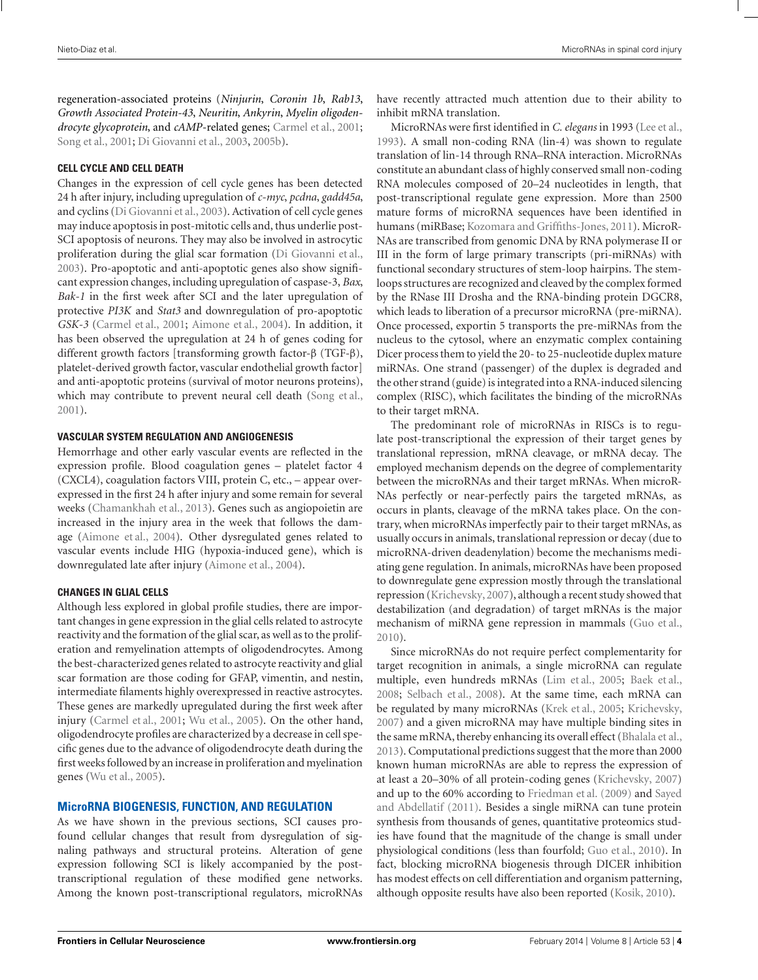regeneration-associated proteins (*Ninjurin*, *Coronin 1b*, *Rab13*, *Growth Associated Protein-43*, *Neuritin*, *Ankyrin*, *Myelin oligodendrocyte glycoprotein*, and *cAMP*-related genes; [Carmel et al.](#page-14-0), [2001;](#page-14-0) [Song et al., 2001](#page-17-0); [Di Giovanni et al., 2003](#page-15-0), [2005b](#page-15-0)).

#### **CELL CYCLE AND CELL DEATH**

Changes in the expression of cell cycle genes has been detected 24 h after injury, including upregulation of *c-myc*, *pcdna*, *gadd45a*, and cyclins [\(Di Giovanni et al.](#page-15-0), [2003](#page-15-0)). Activation of cell cycle genes may induce apoptosis in post-mitotic cells and, thus underlie post-SCI apoptosis of neurons. They may also be involved in astrocytic proliferation during the glial scar formation [\(Di Giovanni et al.](#page-15-0), [2003\)](#page-15-0). Pro-apoptotic and anti-apoptotic genes also show significant expression changes, including upregulation of caspase-3, *Bax*, *Bak-1* in the first week after SCI and the later upregulation of protective *PI3K* and *Stat3* and downregulation of pro-apoptotic *GSK-3* [\(Carmel et al.](#page-14-0), [2001;](#page-14-0) [Aimone et al., 2004](#page-14-0)). In addition, it has been observed the upregulation at 24 h of genes coding for different growth factors [transforming growth factor-β (TGF-β), platelet-derived growth factor, vascular endothelial growth factor] and anti-apoptotic proteins (survival of motor neurons proteins), which may contribute to prevent neural cell death [\(Song et al.](#page-17-0), [2001\)](#page-17-0).

#### **VASCULAR SYSTEM REGULATION AND ANGIOGENESIS**

Hemorrhage and other early vascular events are reflected in the expression profile. Blood coagulation genes – platelet factor 4 (CXCL4), coagulation factors VIII, protein C, etc., – appear overexpressed in the first 24 h after injury and some remain for several weeks [\(Chamankhah et al.](#page-14-0), [2013\)](#page-14-0). Genes such as angiopoietin are increased in the injury area in the week that follows the damage [\(Aimone et al., 2004\)](#page-14-0). Other dysregulated genes related to vascular events include HIG (hypoxia-induced gene), which is downregulated late after injury [\(Aimone et al.](#page-14-0), [2004\)](#page-14-0).

#### **CHANGES IN GLIAL CELLS**

Although less explored in global profile studies, there are important changes in gene expression in the glial cells related to astrocyte reactivity and the formation of the glial scar, as well as to the proliferation and remyelination attempts of oligodendrocytes. Among the best-characterized genes related to astrocyte reactivity and glial scar formation are those coding for GFAP, vimentin, and nestin, intermediate filaments highly overexpressed in reactive astrocytes. These genes are markedly upregulated during the first week after injury [\(Carmel et al.](#page-14-0), [2001](#page-14-0); [Wu et al.](#page-18-0), [2005](#page-18-0)). On the other hand, oligodendrocyte profiles are characterized by a decrease in cell specific genes due to the advance of oligodendrocyte death during the first weeks followed by an increase in proliferation and myelination genes [\(Wu et al.](#page-18-0), [2005\)](#page-18-0).

## **MicroRNA BIOGENESIS, FUNCTION, AND REGULATION**

As we have shown in the previous sections, SCI causes profound cellular changes that result from dysregulation of signaling pathways and structural proteins. Alteration of gene expression following SCI is likely accompanied by the posttranscriptional regulation of these modified gene networks. Among the known post-transcriptional regulators, microRNAs have recently attracted much attention due to their ability to inhibit mRNA translation.

MicroRNAs were first identified in *C. elegans* in 1993 [\(Lee et al.,](#page-16-0) [1993](#page-16-0)). A small non-coding RNA (lin-4) was shown to regulate translation of lin-14 through RNA–RNA interaction. MicroRNAs constitute an abundant class of highly conserved small non-coding RNA molecules composed of 20–24 nucleotides in length, that post-transcriptional regulate gene expression. More than 2500 mature forms of microRNA sequences have been identified in humans (miRBase; [Kozomara and Griffiths-Jones, 2011](#page-16-0)). MicroR-NAs are transcribed from genomic DNA by RNA polymerase II or III in the form of large primary transcripts (pri-miRNAs) with functional secondary structures of stem-loop hairpins. The stemloops structures are recognized and cleaved by the complex formed by the RNase III Drosha and the RNA-binding protein DGCR8, which leads to liberation of a precursor microRNA (pre-miRNA). Once processed, exportin 5 transports the pre-miRNAs from the nucleus to the cytosol, where an enzymatic complex containing Dicer process them to yield the 20- to 25-nucleotide duplex mature miRNAs. One strand (passenger) of the duplex is degraded and the other strand (guide) is integrated into a RNA-induced silencing complex (RISC), which facilitates the binding of the microRNAs to their target mRNA.

The predominant role of microRNAs in RISCs is to regulate post-transcriptional the expression of their target genes by translational repression, mRNA cleavage, or mRNA decay. The employed mechanism depends on the degree of complementarity between the microRNAs and their target mRNAs. When microR-NAs perfectly or near-perfectly pairs the targeted mRNAs, as occurs in plants, cleavage of the mRNA takes place. On the contrary, when microRNAs imperfectly pair to their target mRNAs, as usually occurs in animals, translational repression or decay (due to microRNA-driven deadenylation) become the mechanisms mediating gene regulation. In animals, microRNAs have been proposed to downregulate gene expression mostly through the translational repression [\(Krichevsky,2007](#page-16-0)), although a recent study showed that destabilization (and degradation) of target mRNAs is the major mechanism of miRNA gene repression in mammals [\(Guo et al.,](#page-15-0) [2010](#page-15-0)).

Since microRNAs do not require perfect complementarity for target recognition in animals, a single microRNA can regulate multiple, even hundreds mRNAs [\(Lim et al.](#page-16-0), [2005](#page-16-0); [Baek et al.,](#page-14-0) [2008](#page-14-0); [Selbach et al., 2008\)](#page-17-0). At the same time, each mRNA can be regulated by many microRNAs [\(Krek et al., 2005;](#page-16-0) [Krichevsky,](#page-16-0) [2007](#page-16-0)) and a given microRNA may have multiple binding sites in the same mRNA, thereby enhancing its overall effect [\(Bhalala et al.,](#page-14-0) [2013](#page-14-0)). Computational predictions suggest that the more than 2000 known human microRNAs are able to repress the expression of at least a 20–30% of all protein-coding genes [\(Krichevsky, 2007](#page-16-0)) and up to the 60% according to [Friedman et al.](#page-15-0)[\(2009](#page-15-0)[\)](#page-17-0) and Sayed and Abdellatif [\(2011](#page-17-0)). Besides a single miRNA can tune protein synthesis from thousands of genes, quantitative proteomics studies have found that the magnitude of the change is small under physiological conditions (less than fourfold; [Guo et al.](#page-15-0), [2010](#page-15-0)). In fact, blocking microRNA biogenesis through DICER inhibition has modest effects on cell differentiation and organism patterning, although opposite results have also been reported [\(Kosik, 2010](#page-16-0)).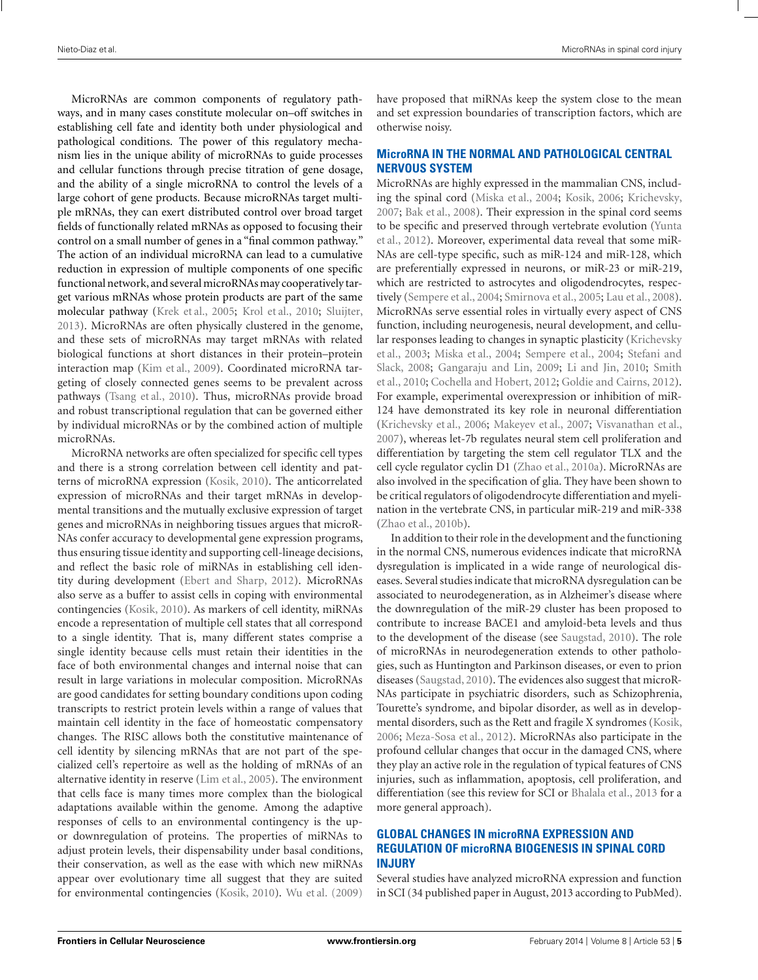MicroRNAs are common components of regulatory pathways, and in many cases constitute molecular on–off switches in establishing cell fate and identity both under physiological and pathological conditions. The power of this regulatory mechanism lies in the unique ability of microRNAs to guide processes and cellular functions through precise titration of gene dosage, and the ability of a single microRNA to control the levels of a large cohort of gene products. Because microRNAs target multiple mRNAs, they can exert distributed control over broad target fields of functionally related mRNAs as opposed to focusing their control on a small number of genes in a "final common pathway." The action of an individual microRNA can lead to a cumulative reduction in expression of multiple components of one specific functional network, and several microRNAs may cooperatively target various mRNAs whose protein products are part of the same molecular pathway [\(Krek et al., 2005](#page-16-0); [Krol et al.](#page-16-0), [2010](#page-16-0); [Sluijter,](#page-17-0) [2013\)](#page-17-0). MicroRNAs are often physically clustered in the genome, and these sets of microRNAs may target mRNAs with related biological functions at short distances in their protein–protein interaction map [\(Kim et al.](#page-16-0), [2009\)](#page-16-0). Coordinated microRNA targeting of closely connected genes seems to be prevalent across pathways [\(Tsang et al., 2010\)](#page-17-0). Thus, microRNAs provide broad and robust transcriptional regulation that can be governed either by individual microRNAs or by the combined action of multiple microRNAs.

MicroRNA networks are often specialized for specific cell types and there is a strong correlation between cell identity and patterns of microRNA expression [\(Kosik, 2010\)](#page-16-0). The anticorrelated expression of microRNAs and their target mRNAs in developmental transitions and the mutually exclusive expression of target genes and microRNAs in neighboring tissues argues that microR-NAs confer accuracy to developmental gene expression programs, thus ensuring tissue identity and supporting cell-lineage decisions, and reflect the basic role of miRNAs in establishing cell identity during development [\(Ebert and Sharp, 2012\)](#page-15-0). MicroRNAs also serve as a buffer to assist cells in coping with environmental contingencies [\(Kosik](#page-16-0), [2010](#page-16-0)). As markers of cell identity, miRNAs encode a representation of multiple cell states that all correspond to a single identity. That is, many different states comprise a single identity because cells must retain their identities in the face of both environmental changes and internal noise that can result in large variations in molecular composition. MicroRNAs are good candidates for setting boundary conditions upon coding transcripts to restrict protein levels within a range of values that maintain cell identity in the face of homeostatic compensatory changes. The RISC allows both the constitutive maintenance of cell identity by silencing mRNAs that are not part of the specialized cell's repertoire as well as the holding of mRNAs of an alternative identity in reserve [\(Lim et al., 2005\)](#page-16-0). The environment that cells face is many times more complex than the biological adaptations available within the genome. Among the adaptive responses of cells to an environmental contingency is the upor downregulation of proteins. The properties of miRNAs to adjust protein levels, their dispensability under basal conditions, their conservation, as well as the ease with which new miRNAs appear over evolutionary time all suggest that they are suited for environmental contingencies [\(Kosik, 2010\)](#page-16-0). [Wu et al.](#page-18-0) [\(2009](#page-18-0)) have proposed that miRNAs keep the system close to the mean and set expression boundaries of transcription factors, which are otherwise noisy.

## **MicroRNA IN THE NORMAL AND PATHOLOGICAL CENTRAL NERVOUS SYSTEM**

MicroRNAs are highly expressed in the mammalian CNS, including the spinal cord [\(Miska et al., 2004;](#page-16-0) [Kosik](#page-16-0), [2006](#page-16-0); [Krichevsky,](#page-16-0) [2007](#page-16-0); [Bak et al., 2008](#page-14-0)). Their expression in the spinal cord seems to b[e specific and preserved through vertebrate evolution \(](#page-18-0)Yunta et al., [2012\)](#page-18-0). Moreover, experimental data reveal that some miR-NAs are cell-type specific, such as miR-124 and miR-128, which are preferentially expressed in neurons, or miR-23 or miR-219, which are restricted to astrocytes and oligodendrocytes, respectively [\(Sempere et al., 2004;](#page-17-0) [Smirnova et al., 2005;](#page-17-0) [Lau et al.](#page-16-0), [2008](#page-16-0)). MicroRNAs serve essential roles in virtually every aspect of CNS function, including neurogenesis, neural development, and cellular r[esponses leading to changes in synaptic plasticity \(](#page-16-0)Krichevsky et al., [2003](#page-16-0); [Miska et al., 2004](#page-16-0); [Sempere et al., 2004;](#page-17-0) Stefani and Slack, [2008;](#page-17-0) [Gangaraju and Lin](#page-15-0)[,](#page-17-0) [2009;](#page-15-0) [Li and Jin, 2010;](#page-16-0) Smith et al., [2010;](#page-17-0) [Cochella and Hobert](#page-14-0), [2012;](#page-14-0) [Goldie and Cairns, 2012](#page-15-0)). For example, experimental overexpression or inhibition of miR-124 have demonstrated its key role in neuronal differentiation [\(Krichevsky et al., 2006](#page-16-0); [Makeyev et al., 2007](#page-16-0); [Visvanathan et al.,](#page-17-0) [2007](#page-17-0)), whereas let-7b regulates neural stem cell proliferation and differentiation by targeting the stem cell regulator TLX and the cell cycle regulator cyclin D1 [\(Zhao et al.](#page-18-0), [2010a\)](#page-18-0). MicroRNAs are also involved in the specification of glia. They have been shown to be critical regulators of oligodendrocyte differentiation and myelination in the vertebrate CNS, in particular miR-219 and miR-338 [\(Zhao et al.](#page-18-0), [2010b](#page-18-0)).

In addition to their role in the development and the functioning in the normal CNS, numerous evidences indicate that microRNA dysregulation is implicated in a wide range of neurological diseases. Several studies indicate that microRNA dysregulation can be associated to neurodegeneration, as in Alzheimer's disease where the downregulation of the miR-29 cluster has been proposed to contribute to increase BACE1 and amyloid-beta levels and thus to the development of the disease (see [Saugstad](#page-17-0), [2010\)](#page-17-0). The role of microRNAs in neurodegeneration extends to other pathologies, such as Huntington and Parkinson diseases, or even to prion diseases [\(Saugstad, 2010\)](#page-17-0). The evidences also suggest that microR-NAs participate in psychiatric disorders, such as Schizophrenia, Tourette's syndrome, and bipolar disorder, as well as in developmental disorders, such as the Rett and fragile X syndromes [\(Kosik,](#page-16-0) [2006](#page-16-0); [Meza-Sosa et al.](#page-16-0), [2012](#page-16-0)). MicroRNAs also participate in the profound cellular changes that occur in the damaged CNS, where they play an active role in the regulation of typical features of CNS injuries, such as inflammation, apoptosis, cell proliferation, and differentiation (see this review for SCI or [Bhalala et al., 2013](#page-14-0) for a more general approach).

## **GLOBAL CHANGES IN microRNA EXPRESSION AND REGULATION OF microRNA BIOGENESIS IN SPINAL CORD INJURY**

Several studies have analyzed microRNA expression and function in SCI (34 published paper in August, 2013 according to PubMed).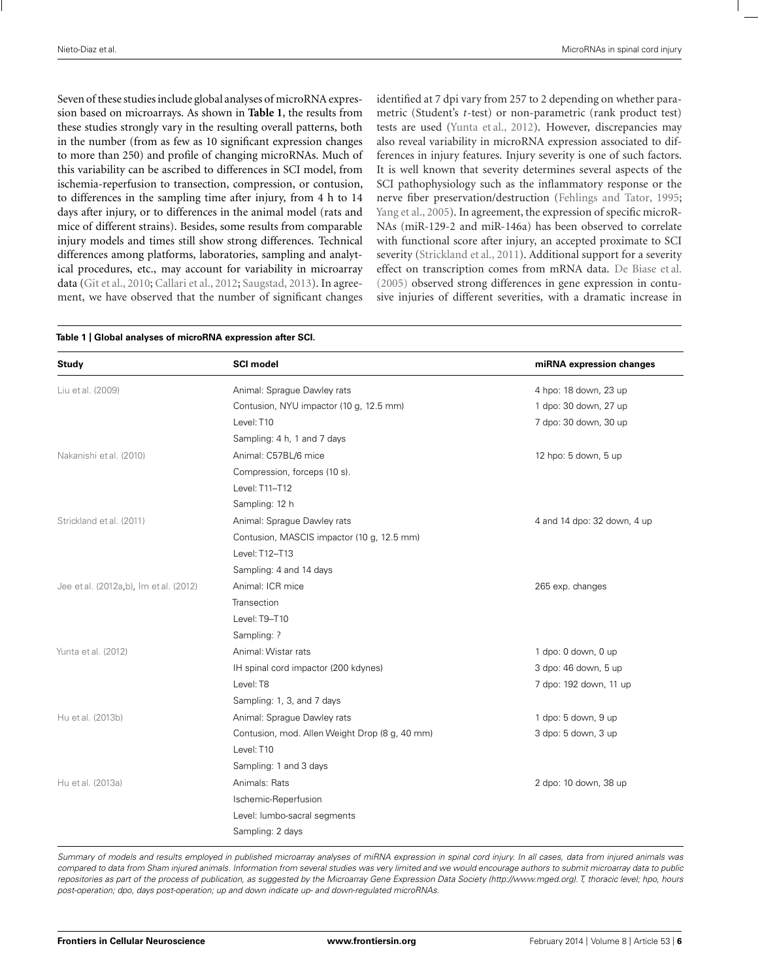Seven of these studies include global analyses of microRNA expression based on microarrays. As shown in **Table 1**, the results from these studies strongly vary in the resulting overall patterns, both in the number (from as few as 10 significant expression changes to more than 250) and profile of changing microRNAs. Much of this variability can be ascribed to differences in SCI model, from ischemia-reperfusion to transection, compression, or contusion, to differences in the sampling time after injury, from 4 h to 14 days after injury, or to differences in the animal model (rats and mice of different strains). Besides, some results from comparable injury models and times still show strong differences. Technical differences among platforms, laboratories, sampling and analytical procedures, etc., may account for variability in microarray data [\(Git et al.](#page-15-0), [2010](#page-15-0); [Callari et al., 2012;](#page-14-0) [Saugstad, 2013\)](#page-17-0). In agreement, we have observed that the number of significant changes identified at 7 dpi vary from 257 to 2 depending on whether parametric (Student's *t*-test) or non-parametric (rank product test) tests are used [\(Yunta et al.](#page-18-0), [2012](#page-18-0)). However, discrepancies may also reveal variability in microRNA expression associated to differences in injury features. Injury severity is one of such factors. It is well known that severity determines several aspects of the SCI pathophysiology such as the inflammatory response or the nerve fiber preservation/destruction [\(Fehlings and Tator, 1995;](#page-15-0) [Yang et al.](#page-18-0), [2005](#page-18-0)). In agreement, the expression of specific microR-NAs (miR-129-2 and miR-146a) has been observed to correlate with functional score after injury, an accepted proximate to SCI severity [\(Strickland et al.](#page-17-0), [2011\)](#page-17-0). Additional support for a severity effect on transcription comes from mRNA data. [De Biase et al.](#page-14-0) [\(2005\)](#page-14-0) observed strong differences in gene expression in contusive injuries of different severities, with a dramatic increase in

|  |  |  | Table 1   Global analyses of microRNA expression after SCI. |  |  |
|--|--|--|-------------------------------------------------------------|--|--|
|--|--|--|-------------------------------------------------------------|--|--|

| Study                                  | <b>SCI model</b>                               | miRNA expression changes    |  |
|----------------------------------------|------------------------------------------------|-----------------------------|--|
| Liu et al. (2009)                      | Animal: Sprague Dawley rats                    | 4 hpo: 18 down, 23 up       |  |
|                                        | Contusion, NYU impactor (10 g, 12.5 mm)        | 1 dpo: 30 down, 27 up       |  |
|                                        | Level: T10                                     | 7 dpo: 30 down, 30 up       |  |
|                                        | Sampling: 4 h, 1 and 7 days                    |                             |  |
| Nakanishi et al. (2010)                | Animal: C57BL/6 mice                           | 12 hpo: 5 down, 5 up        |  |
|                                        | Compression, forceps (10 s).                   |                             |  |
|                                        | Level: T11-T12                                 |                             |  |
|                                        | Sampling: 12 h                                 |                             |  |
| Strickland et al. (2011)               | Animal: Sprague Dawley rats                    | 4 and 14 dpo: 32 down, 4 up |  |
|                                        | Contusion, MASCIS impactor (10 g, 12.5 mm)     |                             |  |
|                                        | Level: T12-T13                                 |                             |  |
|                                        | Sampling: 4 and 14 days                        |                             |  |
| Jee et al. (2012a,b), Im et al. (2012) | Animal: ICR mice                               | 265 exp. changes            |  |
|                                        | Transection                                    |                             |  |
|                                        | Level: T9-T10                                  |                             |  |
|                                        | Sampling: ?                                    |                             |  |
| Yunta et al. (2012)                    | Animal: Wistar rats                            | 1 dpo: 0 down, 0 up         |  |
|                                        | IH spinal cord impactor (200 kdynes)           | 3 dpo: 46 down, 5 up        |  |
|                                        | Level: T8                                      | 7 dpo: 192 down, 11 up      |  |
|                                        | Sampling: 1, 3, and 7 days                     |                             |  |
| Hu et al. (2013b)                      | Animal: Sprague Dawley rats                    | 1 dpo: 5 down, 9 up         |  |
|                                        | Contusion, mod. Allen Weight Drop (8 g, 40 mm) | 3 dpo: 5 down, 3 up         |  |
|                                        | Level: T10                                     |                             |  |
|                                        | Sampling: 1 and 3 days                         |                             |  |
| Hu et al. (2013a)                      | Animals: Rats                                  | 2 dpo: 10 down, 38 up       |  |
|                                        | Ischemic-Reperfusion                           |                             |  |
|                                        | Level: lumbo-sacral segments                   |                             |  |
|                                        | Sampling: 2 days                               |                             |  |

Summary of models and results employed in published microarray analyses of miRNA expression in spinal cord injury. In all cases, data from injured animals was compared to data from Sham injured animals. Information from several studies was very limited and we would encourage authors to submit microarray data to public repositories as part of the process of publication, as suggested by the Microarray Gene Expression Data Society [\(http://www.mged.org\).](http://www.mged.org) T, thoracic level; hpo, hours post-operation; dpo, days post-operation; up and down indicate up- and down-regulated microRNAs.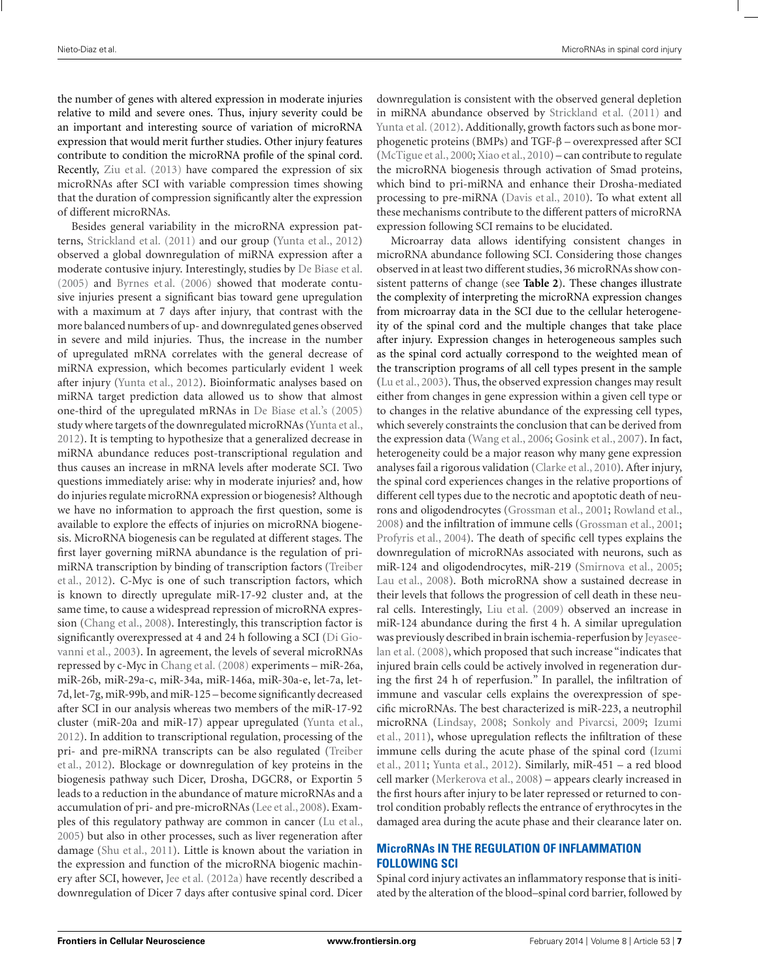the number of genes with altered expression in moderate injuries relative to mild and severe ones. Thus, injury severity could be an important and interesting source of variation of microRNA expression that would merit further studies. Other injury features contribute to condition the microRNA profile of the spinal cord. Recently, [Ziu et al.](#page-18-0) [\(2013](#page-18-0)) have compared the expression of six microRNAs after SCI with variable compression times showing that the duration of compression significantly alter the expression of different microRNAs.

Besides general variability in the microRNA expression patterns, [Strickland et al.](#page-17-0) [\(2011](#page-17-0)) and our group [\(Yunta et al.](#page-18-0), [2012](#page-18-0)) observed a global downregulation of miRNA expression after a moderate contusive injury. Interestingly, studies by [De Biase et al.](#page-14-0) [\(2005](#page-14-0)) and [Byrnes et al.](#page-14-0) [\(2006\)](#page-14-0) showed that moderate contusive injuries present a significant bias toward gene upregulation with a maximum at 7 days after injury, that contrast with the more balanced numbers of up- and downregulated genes observed in severe and mild injuries. Thus, the increase in the number of upregulated mRNA correlates with the general decrease of miRNA expression, which becomes particularly evident 1 week after injury [\(Yunta et al., 2012\)](#page-18-0). Bioinformatic analyses based on miRNA target prediction data allowed us to show that almost one-third of the upregulated mRNAs in [De Biase et al.](#page-14-0)'s [\(2005](#page-14-0)) study where targets of the downregulated microRNAs [\(Yunta et al.,](#page-18-0) [2012\)](#page-18-0). It is tempting to hypothesize that a generalized decrease in miRNA abundance reduces post-transcriptional regulation and thus causes an increase in mRNA levels after moderate SCI. Two questions immediately arise: why in moderate injuries? and, how do injuries regulate microRNA expression or biogenesis? Although we have no information to approach the first question, some is available to explore the effects of injuries on microRNA biogenesis. MicroRNA biogenesis can be regulated at different stages. The first layer governing miRNA abundance is the regulation of primiR[NA transcription by binding of transcription factors \(](#page-17-0)Treiber et al., [2012](#page-17-0)). C-Myc is one of such transcription factors, which is known to directly upregulate miR-17-92 cluster and, at the same time, to cause a widespread repression of microRNA expression [\(Chang et al., 2008](#page-14-0)). Interestingly, this transcription factor is significant[ly overexpressed at 4 and 24 h following a SCI \(](#page-15-0)Di Giovanni et al., [2003\)](#page-15-0). In agreement, the levels of several microRNAs repressed by c-Myc in [Chang et al.](#page-14-0) [\(2008\)](#page-14-0) experiments – miR-26a, miR-26b, miR-29a-c, miR-34a, miR-146a, miR-30a-e, let-7a, let-7d, let-7g, miR-99b, and miR-125 – become significantly decreased after SCI in our analysis whereas two members of the miR-17-92 cluster (miR-20a and miR-17) appear upregulated [\(Yunta et al.,](#page-18-0) [2012\)](#page-18-0). In addition to transcriptional regulation, processing of the pri- [and pre-miRNA transcripts can be also regulated \(](#page-17-0)Treiber et al., [2012](#page-17-0)). Blockage or downregulation of key proteins in the biogenesis pathway such Dicer, Drosha, DGCR8, or Exportin 5 leads to a reduction in the abundance of mature microRNAs and a accumulation of pri- and pre-microRNAs [\(Lee et al., 2008](#page-16-0)). Examples of this regulatory pathway are common in cancer [\(Lu et al.,](#page-16-0) [2005\)](#page-16-0) but also in other processes, such as liver regeneration after damage [\(Shu et al., 2011\)](#page-17-0). Little is known about the variation in the expression and function of the microRNA biogenic machinery after SCI, however, [Jee et al.](#page-15-0) [\(2012a\)](#page-15-0) have recently described a downregulation of Dicer 7 days after contusive spinal cord. Dicer downregulation is consistent with the observed general depletion in miRNA abundance observed by [Strickland et al.](#page-17-0) [\(2011](#page-17-0)) and [Yunta et al.](#page-18-0) [\(2012\)](#page-18-0). Additionally, growth factors such as bone morphogenetic proteins (BMPs) and TGF-β – overexpressed after SCI [\(McTigue et al.](#page-16-0), [2000;](#page-16-0) [Xiao et al.](#page-18-0), [2010](#page-18-0)) – can contribute to regulate the microRNA biogenesis through activation of Smad proteins, which bind to pri-miRNA and enhance their Drosha-mediated processing to pre-miRNA [\(Davis et al.](#page-14-0), [2010](#page-14-0)). To what extent all these mechanisms contribute to the different patters of microRNA expression following SCI remains to be elucidated.

Microarray data allows identifying consistent changes in microRNA abundance following SCI. Considering those changes observed in at least two different studies, 36 microRNAs show consistent patterns of change (see **[Table 2](#page-7-0)**). These changes illustrate the complexity of interpreting the microRNA expression changes from microarray data in the SCI due to the cellular heterogeneity of the spinal cord and the multiple changes that take place after injury. Expression changes in heterogeneous samples such as the spinal cord actually correspond to the weighted mean of the transcription programs of all cell types present in the sample [\(Lu et al., 2003\)](#page-16-0). Thus, the observed expression changes may result either from changes in gene expression within a given cell type or to changes in the relative abundance of the expressing cell types, which severely constraints the conclusion that can be derived from the expression data [\(Wang et al.](#page-17-0), [2006](#page-17-0); [Gosink et al.](#page-15-0), [2007](#page-15-0)). In fact, heterogeneity could be a major reason why many gene expression analyses fail a rigorous validation [\(Clarke et al.](#page-14-0), [2010](#page-14-0)). After injury, the spinal cord experiences changes in the relative proportions of different cell types due to the necrotic and apoptotic death of neurons and oligodendrocytes [\(Grossman et al., 2001](#page-15-0); [Rowland et al.,](#page-17-0) [2008](#page-17-0)) and the infiltration of immune cells [\(Grossman et al.](#page-15-0), [2001;](#page-15-0) [Profyris et al.](#page-17-0), [2004\)](#page-17-0). The death of specific cell types explains the downregulation of microRNAs associated with neurons, such as miR-124 and oligodendrocytes, miR-219 [\(Smirnova et al.](#page-17-0), [2005;](#page-17-0) [Lau et al.](#page-16-0), [2008\)](#page-16-0). Both microRNA show a sustained decrease in their levels that follows the progression of cell death in these neural cells. Interestingly, [Liu et al.](#page-16-0) [\(2009](#page-16-0)) observed an increase in miR-124 abundance during the first 4 h. A similar upregulation was pre[viously described in brain ischemia-reperfusion by](#page-15-0) Jeyaseelan et al. [\(2008\)](#page-15-0), which proposed that such increase "indicates that injured brain cells could be actively involved in regeneration during the first 24 h of reperfusion." In parallel, the infiltration of immune and vascular cells explains the overexpression of specific microRNAs. The best characterized is miR-223, a neutrophil microRNA [\(Lindsay, 2008;](#page-16-0) [Sonkoly and Pivarcsi](#page-17-0)[,](#page-15-0) [2009](#page-17-0)[;](#page-15-0) Izumi et al., [2011\)](#page-15-0), whose upregulation reflects the infiltration of these im[mune cells during the acute phase of the spinal cord \(](#page-15-0)Izumi et al., [2011;](#page-15-0) [Yunta et al.](#page-18-0), [2012](#page-18-0)). Similarly, miR-451 – a red blood cell marker [\(Merkerova et al.](#page-16-0), [2008\)](#page-16-0) – appears clearly increased in the first hours after injury to be later repressed or returned to control condition probably reflects the entrance of erythrocytes in the damaged area during the acute phase and their clearance later on.

## **MicroRNAs IN THE REGULATION OF INFLAMMATION FOLLOWING SCI**

Spinal cord injury activates an inflammatory response that is initiated by the alteration of the blood–spinal cord barrier, followed by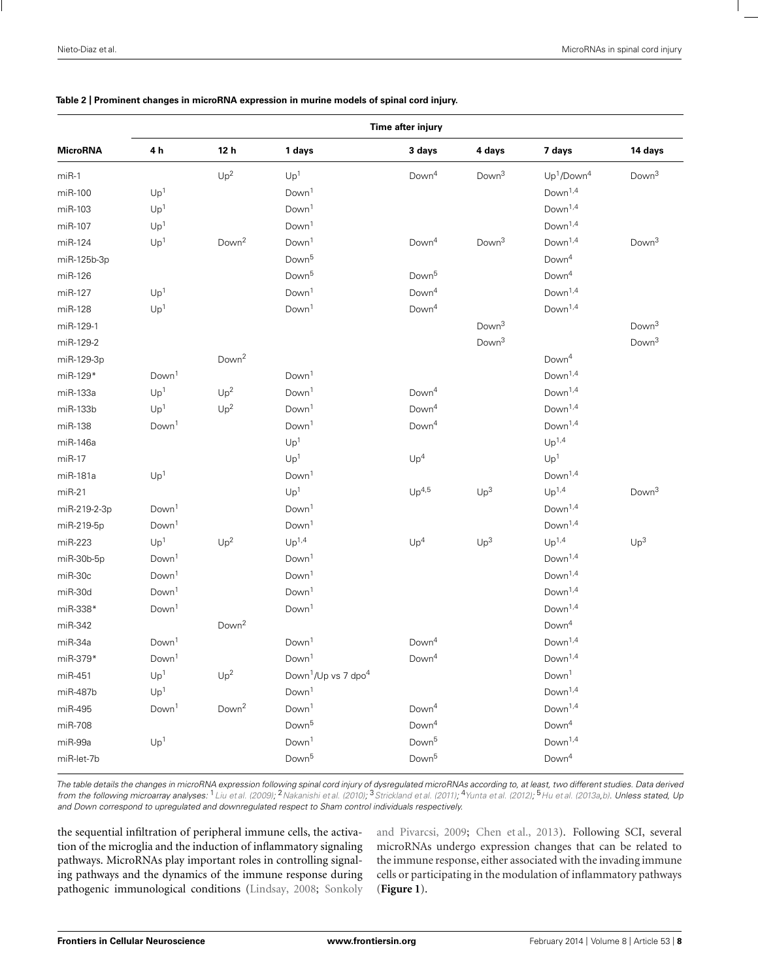#### <span id="page-7-0"></span>**Table 2 | Prominent changes in microRNA expression in murine models of spinal cord injury.**

|                 | Time after injury |                   |                                             |                   |                   |                                    |                   |  |  |
|-----------------|-------------------|-------------------|---------------------------------------------|-------------------|-------------------|------------------------------------|-------------------|--|--|
| <b>MicroRNA</b> | 4 h               | 12 <sub>h</sub>   | 1 days                                      | 3 days            | 4 days            | 7 days                             | 14 days           |  |  |
| $miR-1$         |                   | Up <sup>2</sup>   | Up <sup>1</sup>                             | Down <sup>4</sup> | Down <sup>3</sup> | Up <sup>1</sup> /Down <sup>4</sup> | Down <sup>3</sup> |  |  |
| miR-100         | Up <sup>1</sup>   |                   | Down <sup>1</sup>                           |                   |                   | Down <sup>1,4</sup>                |                   |  |  |
| miR-103         | Up <sup>1</sup>   |                   | Down <sup>1</sup>                           |                   |                   | Down <sup>1,4</sup>                |                   |  |  |
| miR-107         | Up <sup>1</sup>   |                   | Down <sup>1</sup>                           |                   |                   | Down <sup>1,4</sup>                |                   |  |  |
| miR-124         | Up <sup>1</sup>   | Down <sup>2</sup> | Down <sup>1</sup>                           | Down <sup>4</sup> | Down <sup>3</sup> | Down <sup>1,4</sup>                | Down <sup>3</sup> |  |  |
| miR-125b-3p     |                   |                   | Down <sup>5</sup>                           |                   |                   | Down <sup>4</sup>                  |                   |  |  |
| miR-126         |                   |                   | Down <sup>5</sup>                           | Down <sup>5</sup> |                   | Down <sup>4</sup>                  |                   |  |  |
| miR-127         | Up <sup>1</sup>   |                   | Down <sup>1</sup>                           | Down <sup>4</sup> |                   | Down <sup>1,4</sup>                |                   |  |  |
| miR-128         | Up <sup>1</sup>   |                   | Down <sup>1</sup>                           | Down <sup>4</sup> |                   | Down <sup>1,4</sup>                |                   |  |  |
| miR-129-1       |                   |                   |                                             |                   | Down <sup>3</sup> |                                    | Down <sup>3</sup> |  |  |
| miR-129-2       |                   |                   |                                             |                   | Down <sup>3</sup> |                                    | Down <sup>3</sup> |  |  |
| miR-129-3p      |                   | Down <sup>2</sup> |                                             |                   |                   | Down <sup>4</sup>                  |                   |  |  |
| miR-129*        | Down <sup>1</sup> |                   | Down <sup>1</sup>                           |                   |                   | Down <sup>1,4</sup>                |                   |  |  |
| miR-133a        | Up <sup>1</sup>   | Up <sup>2</sup>   | Down <sup>1</sup>                           | Down <sup>4</sup> |                   | Down <sup>1,4</sup>                |                   |  |  |
| miR-133b        | Up <sup>1</sup>   | Up <sup>2</sup>   | Down <sup>1</sup>                           | Down <sup>4</sup> |                   | Down <sup>1,4</sup>                |                   |  |  |
| miR-138         | Down <sup>1</sup> |                   | Down <sup>1</sup>                           | Down <sup>4</sup> |                   | Down <sup>1,4</sup>                |                   |  |  |
| miR-146a        |                   |                   | Up <sup>1</sup>                             |                   |                   | Up <sup>1,4</sup>                  |                   |  |  |
| $miR-17$        |                   |                   | Up <sup>1</sup>                             | Up <sup>4</sup>   |                   | Up <sup>1</sup>                    |                   |  |  |
| miR-181a        | Up <sup>1</sup>   |                   | Down <sup>1</sup>                           |                   |                   | Down <sup>1,4</sup>                |                   |  |  |
| $miR-21$        |                   |                   | Up <sup>1</sup>                             | Up <sup>4,5</sup> | Up <sup>3</sup>   | Up <sup>1,4</sup>                  | Down <sup>3</sup> |  |  |
| miR-219-2-3p    | Down <sup>1</sup> |                   | Down <sup>1</sup>                           |                   |                   | Down <sup>1,4</sup>                |                   |  |  |
| miR-219-5p      | Down <sup>1</sup> |                   | Down <sup>1</sup>                           |                   |                   | Down <sup>1,4</sup>                |                   |  |  |
| miR-223         | Up <sup>1</sup>   | Up <sup>2</sup>   | Up <sup>1,4</sup>                           | Up <sup>4</sup>   | Up <sup>3</sup>   | Up <sup>1,4</sup>                  | Up <sup>3</sup>   |  |  |
| miR-30b-5p      | Down <sup>1</sup> |                   | Down <sup>1</sup>                           |                   |                   | Down <sup>1,4</sup>                |                   |  |  |
| miR-30c         | Down <sup>1</sup> |                   | Down <sup>1</sup>                           |                   |                   | Down <sup>1,4</sup>                |                   |  |  |
| miR-30d         | Down <sup>1</sup> |                   | Down <sup>1</sup>                           |                   |                   | Down <sup>1,4</sup>                |                   |  |  |
| miR-338*        | Down <sup>1</sup> |                   | Down <sup>1</sup>                           |                   |                   | Down <sup>1,4</sup>                |                   |  |  |
| miR-342         |                   | Down <sup>2</sup> |                                             |                   |                   | Down <sup>4</sup>                  |                   |  |  |
| miR-34a         | Down <sup>1</sup> |                   | Down <sup>1</sup>                           | Down <sup>4</sup> |                   | Down <sup>1,4</sup>                |                   |  |  |
| miR-379*        | Down <sup>1</sup> |                   | Down <sup>1</sup>                           | Down <sup>4</sup> |                   | Down <sup>1,4</sup>                |                   |  |  |
| miR-451         | Up <sup>1</sup>   | Up <sup>2</sup>   | Down <sup>1</sup> /Up vs 7 dpo <sup>4</sup> |                   |                   | Down <sup>1</sup>                  |                   |  |  |
| miR-487b        | Up <sup>1</sup>   |                   | Down <sup>1</sup>                           |                   |                   | Down <sup>1,4</sup>                |                   |  |  |
| miR-495         | Down <sup>1</sup> | Down <sup>2</sup> | Down <sup>1</sup>                           | Down <sup>4</sup> |                   | Down <sup>1,4</sup>                |                   |  |  |
| miR-708         |                   |                   | Down <sup>5</sup>                           | Down <sup>4</sup> |                   | Down <sup>4</sup>                  |                   |  |  |
| miR-99a         | Up <sup>1</sup>   |                   | Down <sup>1</sup>                           | Down <sup>5</sup> |                   | Down <sup>1,4</sup>                |                   |  |  |
| miR-let-7b      |                   |                   | Down <sup>5</sup>                           | Down <sup>5</sup> |                   | Down <sup>4</sup>                  |                   |  |  |

The table details the changes in microRNA expression following spinal cord injury of dysregulated microRNAs according to, at least, two different studies. Data derived from the following microarray analyses: <sup>1</sup>[Liu et al. \(2009\)](#page-16-0); <sup>2</sup>[Nakanishi et al.](#page-16-0) [\(2010](#page-16-0)); <sup>3</sup>[Strickland et al.](#page-17-0) [\(2011\)](#page-17-0); <sup>4</sup>[Yunta et al. \(2012\)](#page-18-0); <sup>5</sup>[Hu et al.](#page-15-0) [\(2013a,b\)](#page-15-0). Unless stated, Up and Down correspond to upregulated and downregulated respect to Sham control individuals respectively.

the sequential infiltration of peripheral immune cells, the activation of the microglia and the induction of inflammatory signaling pathways. MicroRNAs play important roles in controlling signaling pathways and the dynamics of the immune response during pathogenic immunological conditions [\(Lindsay](#page-16-0), [2008](#page-16-0); Sonkoly and Pivarcsi, [2009](#page-17-0); [Chen et al., 2013](#page-14-0)). Following SCI, several microRNAs undergo expression changes that can be related to the immune response, either associated with the invading immune cells or participating in the modulation of inflammatory pathways (**[Figure 1](#page-8-0)**).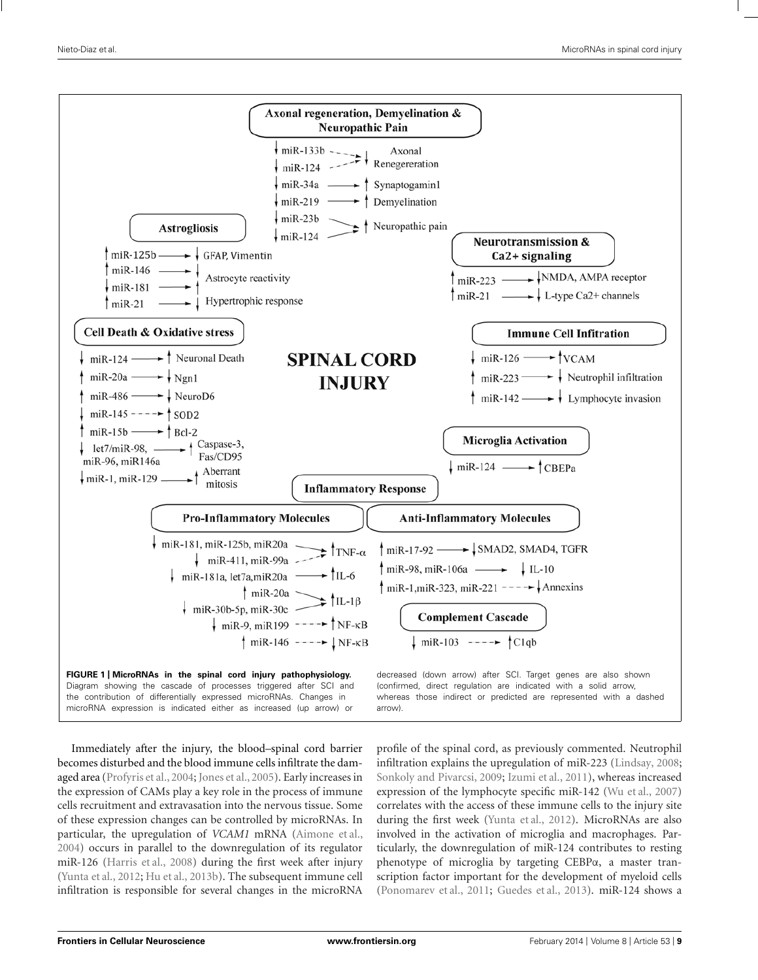<span id="page-8-0"></span>

Immediately after the injury, the blood–spinal cord barrier becomes disturbed and the blood immune cells infiltrate the damaged area [\(Profyris et al., 2004;](#page-17-0) [Jones et al., 2005](#page-15-0)). Early increases in the expression of CAMs play a key role in the process of immune cells recruitment and extravasation into the nervous tissue. Some of these expression changes can be controlled by microRNAs. In particular, the upregulation of *VCAM1* mRNA [\(Aimone et al.](#page-14-0), [2004\)](#page-14-0) occurs in parallel to the downregulation of its regulator miR-126 [\(Harris et al., 2008\)](#page-15-0) during the first week after injury [\(Yunta et al.](#page-18-0), [2012](#page-18-0); [Hu et al.](#page-15-0), [2013b](#page-15-0)). The subsequent immune cell infiltration is responsible for several changes in the microRNA

profile of the spinal cord, as previously commented. Neutrophil infiltration explains the upregulation of miR-223 [\(Lindsay](#page-16-0), [2008;](#page-16-0) [Sonkoly and Pivarcsi](#page-17-0), [2009;](#page-17-0) [Izumi et al.](#page-15-0), [2011\)](#page-15-0), whereas increased expression of the lymphocyte specific miR-142 [\(Wu et al.](#page-18-0), [2007](#page-18-0)) correlates with the access of these immune cells to the injury site during the first week [\(Yunta et al., 2012\)](#page-18-0). MicroRNAs are also involved in the activation of microglia and macrophages. Particularly, the downregulation of miR-124 contributes to resting phenotype of microglia by targeting CEBPα, a master transcription factor important for the development of myeloid cells [\(Ponomarev et al.](#page-17-0), [2011;](#page-17-0) [Guedes et al., 2013](#page-15-0)). miR-124 shows a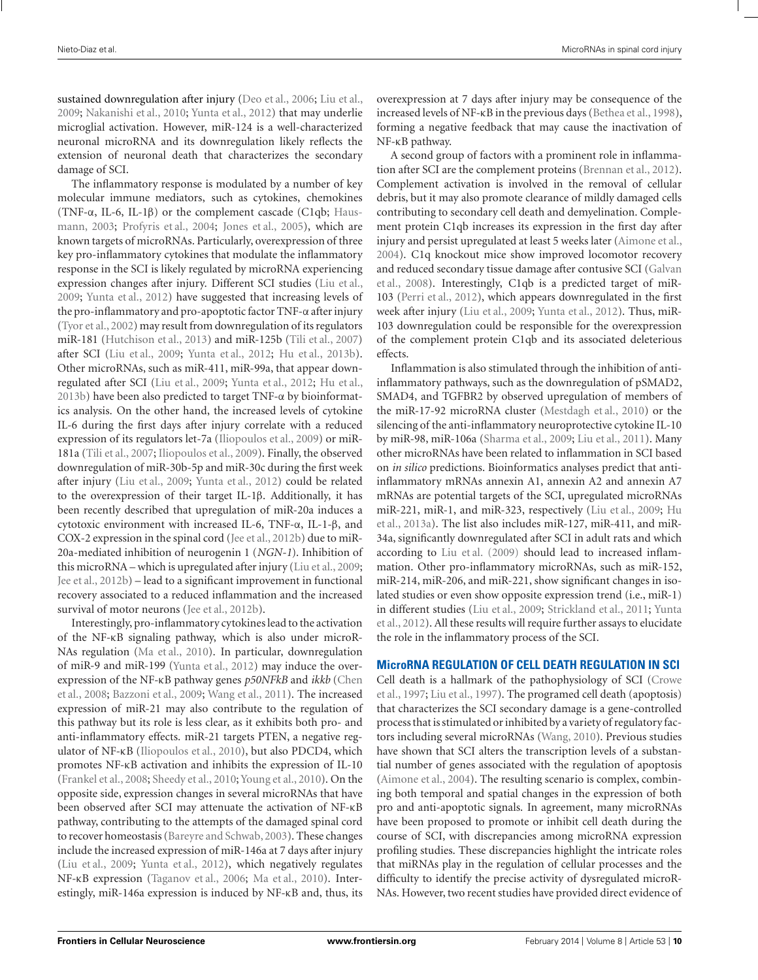sustained downregulation after injury [\(Deo et al.](#page-14-0), [2006;](#page-14-0) [Liu et al.,](#page-16-0) [2009;](#page-16-0) [Nakanishi et al.](#page-16-0), [2010](#page-16-0); [Yunta et al., 2012](#page-18-0)) that may underlie microglial activation. However, miR-124 is a well-characterized neuronal microRNA and its downregulation likely reflects the extension of neuronal death that characterizes the secondary damage of SCI.

The inflammatory response is modulated by a number of key molecular immune mediators, such as cytokines, chemokines (TNF- $\alpha$ , IL-6, IL-1 $\beta$ [\)](#page-15-0) [or](#page-15-0) [the](#page-15-0) [complement](#page-15-0) [cascade](#page-15-0) [\(C1qb;](#page-15-0) Hausmann, [2003](#page-15-0); [Profyris et al., 2004;](#page-17-0) [Jones et al.](#page-15-0), [2005](#page-15-0)), which are known targets of microRNAs. Particularly, overexpression of three key pro-inflammatory cytokines that modulate the inflammatory response in the SCI is likely regulated by microRNA experiencing expression changes after injury. Different SCI studies [\(Liu et al.,](#page-16-0) [2009;](#page-16-0) [Yunta et al.](#page-18-0), [2012\)](#page-18-0) have suggested that increasing levels of the pro-inflammatory and pro-apoptotic factor TNF-α after injury [\(Tyor et al.](#page-17-0), [2002\)](#page-17-0) may result from downregulation of its regulators miR-181 [\(Hutchison et al., 2013](#page-15-0)) and miR-125b [\(Tili et al., 2007](#page-17-0)) after SCI [\(Liu et al., 2009;](#page-16-0) [Yunta et al.](#page-18-0), [2012;](#page-18-0) [Hu et al.](#page-15-0), [2013b](#page-15-0)). Other microRNAs, such as miR-411, miR-99a, that appear downregulated after SCI [\(Liu et al.](#page-16-0), [2009;](#page-16-0) [Yunta et al., 2012;](#page-18-0) [Hu et al.,](#page-15-0) [2013b](#page-15-0)) have been also predicted to target TNF- $\alpha$  by bioinformatics analysis. On the other hand, the increased levels of cytokine IL-6 during the first days after injury correlate with a reduced expression of its regulators let-7a [\(Iliopoulos et al.](#page-15-0), [2009](#page-15-0)) or miR-181a [\(Tili et al., 2007;](#page-17-0) [Iliopoulos et al.](#page-15-0), [2009](#page-15-0)). Finally, the observed downregulation of miR-30b-5p and miR-30c during the first week after injury [\(Liu et al., 2009;](#page-16-0) [Yunta et al., 2012](#page-18-0)) could be related to the overexpression of their target IL-1β. Additionally, it has been recently described that upregulation of miR-20a induces a cytotoxic environment with increased IL-6, TNF-α, IL-1-β, and COX-2 expression in the spinal cord [\(Jee et al.](#page-15-0), [2012b](#page-15-0)) due to miR-20a-mediated inhibition of neurogenin 1 (*NGN-1*). Inhibition of this microRNA – which is upregulated after injury [\(Liu et al., 2009;](#page-16-0) [Jee et al., 2012b\)](#page-15-0) – lead to a significant improvement in functional recovery associated to a reduced inflammation and the increased survival of motor neurons [\(Jee et al.](#page-15-0), [2012b\)](#page-15-0).

Interestingly, pro-inflammatory cytokines lead to the activation of the NF-κB signaling pathway, which is also under microR-NAs regulation [\(Ma et al., 2010](#page-16-0)). In particular, downregulation of miR-9 and miR-199 [\(Yunta et al.](#page-18-0), [2012](#page-18-0)) may induce the overexpr[ession](#page-14-0) [of](#page-14-0) [the](#page-14-0) [NF-](#page-14-0)κB pathway genes *p50NFkB* and *ikkb* (Chen et al., [2008](#page-14-0); [Bazzoni et al., 2009](#page-14-0); [Wang et al.](#page-17-0), [2011\)](#page-17-0). The increased expression of miR-21 may also contribute to the regulation of this pathway but its role is less clear, as it exhibits both pro- and anti-inflammatory effects. miR-21 targets PTEN, a negative regulator of NF-κB [\(Iliopoulos et al.](#page-15-0), [2010\)](#page-15-0), but also PDCD4, which promotes NF-κB activation and inhibits the expression of IL-10 [\(Frankel et al.](#page-15-0), [2008](#page-15-0); [Sheedy et al., 2010;](#page-17-0) [Young et al., 2010](#page-18-0)). On the opposite side, expression changes in several microRNAs that have been observed after SCI may attenuate the activation of NF-κB pathway, contributing to the attempts of the damaged spinal cord to recover homeostasis [\(Bareyre and Schwab](#page-14-0), [2003](#page-14-0)). These changes include the increased expression of miR-146a at 7 days after injury [\(Liu et al., 2009](#page-16-0); [Yunta et al.](#page-18-0), [2012](#page-18-0)), which negatively regulates NF-κB expression [\(Taganov et al., 2006](#page-17-0); [Ma et al., 2010](#page-16-0)). Interestingly, miR-146a expression is induced by NF-κB and, thus, its overexpression at 7 days after injury may be consequence of the increased levels of NF-κB in the previous days [\(Bethea et al., 1998](#page-14-0)), forming a negative feedback that may cause the inactivation of NF-κB pathway.

A second group of factors with a prominent role in inflammation after SCI are the complement proteins [\(Brennan et al., 2012](#page-14-0)). Complement activation is involved in the removal of cellular debris, but it may also promote clearance of mildly damaged cells contributing to secondary cell death and demyelination. Complement protein C1qb increases its expression in the first day after injury and persist upregulated at least 5 weeks later [\(Aimone et al.,](#page-14-0) [2004](#page-14-0)). C1q knockout mice show improved locomotor recovery and [reduced secondary tissue damage after contusive SCI \(](#page-15-0)Galvan et al., [2008\)](#page-15-0). Interestingly, C1qb is a predicted target of miR-103 [\(Perri et al., 2012\)](#page-16-0), which appears downregulated in the first week after injury [\(Liu et al.](#page-16-0), [2009;](#page-16-0) [Yunta et al., 2012](#page-18-0)). Thus, miR-103 downregulation could be responsible for the overexpression of the complement protein C1qb and its associated deleterious effects.

Inflammation is also stimulated through the inhibition of antiinflammatory pathways, such as the downregulation of pSMAD2, SMAD4, and TGFBR2 by observed upregulation of members of the miR-17-92 microRNA cluster [\(Mestdagh et al.](#page-16-0), [2010\)](#page-16-0) or the silencing of the anti-inflammatory neuroprotective cytokine IL-10 by miR-98, miR-106a [\(Sharma et al., 2009](#page-17-0); [Liu et al., 2011](#page-16-0)). Many other microRNAs have been related to inflammation in SCI based on *in silico* predictions. Bioinformatics analyses predict that antiinflammatory mRNAs annexin A1, annexin A2 and annexin A7 mRNAs are potential targets of the SCI, upregulated microRNAs miR[-221, miR-1, and miR-323, respectively](#page-15-0) [\(Liu et al.](#page-16-0)[,](#page-15-0) [2009](#page-16-0)[;](#page-15-0) Hu et al., [2013a](#page-15-0)). The list also includes miR-127, miR-411, and miR-34a, significantly downregulated after SCI in adult rats and which according to [Liu et al.](#page-16-0) [\(2009\)](#page-16-0) should lead to increased inflammation. Other pro-inflammatory microRNAs, such as miR-152, miR-214, miR-206, and miR-221, show significant changes in isolated studies or even show opposite expression trend (i.e., miR-1) in d[ifferent studies](#page-18-0) [\(Liu et al., 2009](#page-16-0)[;](#page-18-0) [Strickland et al.](#page-17-0), [2011](#page-17-0); Yunta et al., [2012](#page-18-0)). All these results will require further assays to elucidate the role in the inflammatory process of the SCI.

## **MicroRNA REGULATION OF CELL DEATH REGULATION IN SCI**

Cell [death](#page-14-0) [is](#page-14-0) [a](#page-14-0) [hallmark](#page-14-0) [of](#page-14-0) [the](#page-14-0) [pathophysiology](#page-14-0) [of](#page-14-0) [SCI](#page-14-0) [\(](#page-14-0)Crowe et al., [1997;](#page-14-0) [Liu et al., 1997\)](#page-16-0). The programed cell death (apoptosis) that characterizes the SCI secondary damage is a gene-controlled process that is stimulated or inhibited by a variety of regulatoryfactors including several microRNAs [\(Wang](#page-17-0), [2010](#page-17-0)). Previous studies have shown that SCI alters the transcription levels of a substantial number of genes associated with the regulation of apoptosis [\(Aimone et al.](#page-14-0), [2004\)](#page-14-0). The resulting scenario is complex, combining both temporal and spatial changes in the expression of both pro and anti-apoptotic signals. In agreement, many microRNAs have been proposed to promote or inhibit cell death during the course of SCI, with discrepancies among microRNA expression profiling studies. These discrepancies highlight the intricate roles that miRNAs play in the regulation of cellular processes and the difficulty to identify the precise activity of dysregulated microR-NAs. However, two recent studies have provided direct evidence of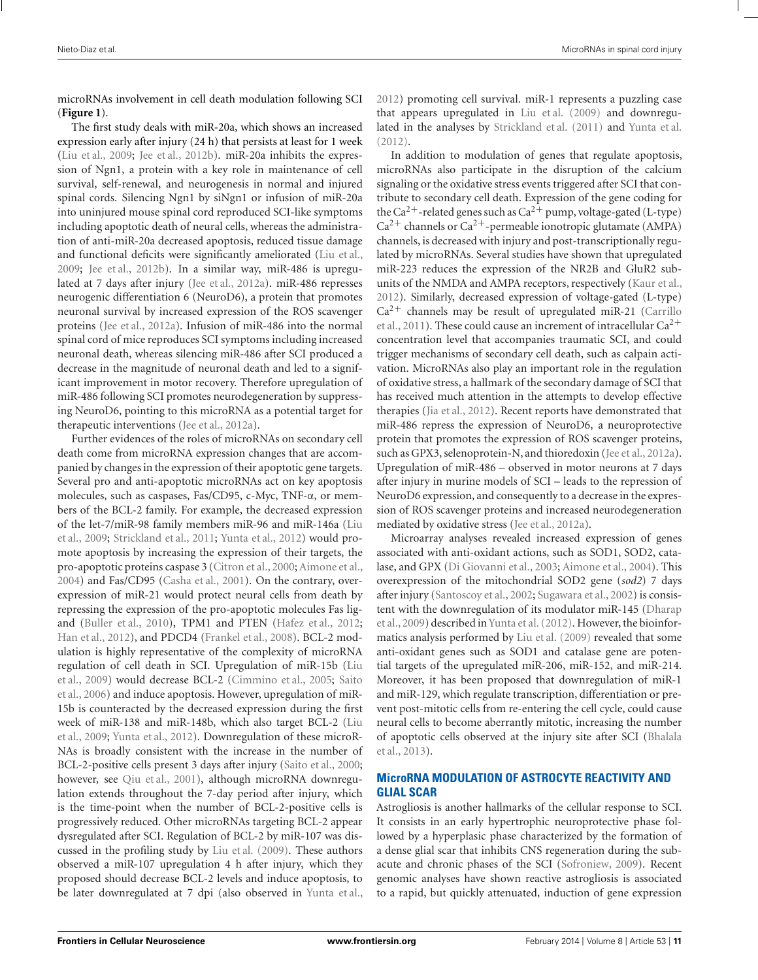microRNAs involvement in cell death modulation following SCI (**[Figure 1](#page-8-0)**).

The first study deals with miR-20a, which shows an increased expression early after injury (24 h) that persists at least for 1 week [\(Liu et al.](#page-16-0), [2009;](#page-16-0) [Jee et al.](#page-15-0), [2012b\)](#page-15-0). miR-20a inhibits the expression of Ngn1, a protein with a key role in maintenance of cell survival, self-renewal, and neurogenesis in normal and injured spinal cords. Silencing Ngn1 by siNgn1 or infusion of miR-20a into uninjured mouse spinal cord reproduced SCI-like symptoms including apoptotic death of neural cells, whereas the administration of anti-miR-20a decreased apoptosis, reduced tissue damage and functional deficits were significantly ameliorated [\(Liu et al.,](#page-16-0) [2009;](#page-16-0) [Jee et al., 2012b](#page-15-0)). In a similar way, miR-486 is upregulated at 7 days after injury [\(Jee et al., 2012a\)](#page-15-0). miR-486 represses neurogenic differentiation 6 (NeuroD6), a protein that promotes neuronal survival by increased expression of the ROS scavenger proteins [\(Jee et al., 2012a\)](#page-15-0). Infusion of miR-486 into the normal spinal cord of mice reproduces SCI symptoms including increased neuronal death, whereas silencing miR-486 after SCI produced a decrease in the magnitude of neuronal death and led to a significant improvement in motor recovery. Therefore upregulation of miR-486 following SCI promotes neurodegeneration by suppressing NeuroD6, pointing to this microRNA as a potential target for therapeutic interventions [\(Jee et al., 2012a](#page-15-0)).

Further evidences of the roles of microRNAs on secondary cell death come from microRNA expression changes that are accompanied by changes in the expression of their apoptotic gene targets. Several pro and anti-apoptotic microRNAs act on key apoptosis molecules, such as caspases, Fas/CD95, c-Myc, TNF-α, or members of the BCL-2 family. For example, the decreased expression of t[he](#page-16-0) [let-7/miR-98](#page-16-0) [family](#page-16-0) [members](#page-16-0) [miR-96](#page-16-0) [and](#page-16-0) [miR-146a](#page-16-0) [\(](#page-16-0)Liu et al., [2009;](#page-16-0) [Strickland et al., 2011;](#page-17-0) [Yunta et al., 2012\)](#page-18-0) would promote apoptosis by increasing the expression of their targets, the pro-apoptotic proteins caspase 3 [\(Citron et al.](#page-14-0), [2000](#page-14-0); [Aimone et al.](#page-14-0), [2004\)](#page-14-0) and Fas/CD95 [\(Casha et al., 2001\)](#page-14-0). On the contrary, overexpression of miR-21 would protect neural cells from death by repressing the expression of the pro-apoptotic molecules Fas ligand [\(Buller et al.](#page-14-0), [2010](#page-14-0)), TPM1 and PTEN [\(Hafez et al., 2012;](#page-15-0) [Han et al.](#page-15-0), [2012](#page-15-0)), and PDCD4 [\(Frankel et al., 2008](#page-15-0)). BCL-2 modulation is highly representative of the complexity of microRNA regu[lation of cell death in SCI. Upregulation of miR-15b \(](#page-16-0)Liu et al.[,](#page-17-0) [2009](#page-16-0)[\)](#page-17-0) [would](#page-17-0) [decrease](#page-17-0) [BCL-2](#page-17-0) [\(Cimmino et al., 2005](#page-14-0)[;](#page-17-0) Saito et al., [2006\)](#page-17-0) and induce apoptosis. However, upregulation of miR-15b is counteracted by the decreased expression during the first wee[k of miR-138 and miR-148b, which also target BCL-2 \(](#page-16-0)Liu et al., [2009](#page-16-0); [Yunta et al.](#page-18-0), [2012\)](#page-18-0). Downregulation of these microR-NAs is broadly consistent with the increase in the number of BCL-2-positive cells present 3 days after injury [\(Saito et al.](#page-17-0), [2000;](#page-17-0) however, see [Qiu et al., 2001\)](#page-17-0), although microRNA downregulation extends throughout the 7-day period after injury, which is the time-point when the number of BCL-2-positive cells is progressively reduced. Other microRNAs targeting BCL-2 appear dysregulated after SCI. Regulation of BCL-2 by miR-107 was discussed in the profiling study by [Liu et al.](#page-16-0) [\(2009\)](#page-16-0). These authors observed a miR-107 upregulation 4 h after injury, which they proposed should decrease BCL-2 levels and induce apoptosis, to be later downregulated at 7 dpi (also observed in [Yunta et al.,](#page-18-0) [2012](#page-18-0)) promoting cell survival. miR-1 represents a puzzling case that appears upregulated in [Liu et al.](#page-16-0) [\(2009\)](#page-16-0) and downregulated in the analyses by [Strickland et al.](#page-17-0) [\(2011\)](#page-17-0) and [Yunta et al.](#page-18-0) [\(2012\)](#page-18-0).

In addition to modulation of genes that regulate apoptosis, microRNAs also participate in the disruption of the calcium signaling or the oxidative stress events triggered after SCI that contribute to secondary cell death. Expression of the gene coding for the Ca<sup>2+</sup>-related genes such as Ca<sup>2+</sup> pump, voltage-gated (L-type)  $\rm Ca^{2+}$  channels or  $\rm Ca^{2+}$  -permeable ionotropic glutamate (AMPA) channels, is decreased with injury and post-transcriptionally regulated by microRNAs. Several studies have shown that upregulated miR-223 reduces the expression of the NR2B and GluR2 subunits of the NMDA and AMPA receptors, respectively [\(Kaur et al.,](#page-16-0) [2012](#page-16-0)). Similarly, decreased expression of voltage-gated (L-type)  $Ca<sup>2+</sup>$  [channels may be result of upregulated miR-21 \(](#page-14-0)Carrillo et al., [2011\)](#page-14-0). These could cause an increment of intracellular  $Ca^{2+}$ concentration level that accompanies traumatic SCI, and could trigger mechanisms of secondary cell death, such as calpain activation. MicroRNAs also play an important role in the regulation of oxidative stress, a hallmark of the secondary damage of SCI that has received much attention in the attempts to develop effective therapies [\(Jia et al., 2012](#page-15-0)). Recent reports have demonstrated that miR-486 repress the expression of NeuroD6, a neuroprotective protein that promotes the expression of ROS scavenger proteins, such as GPX3, selenoprotein-N, and thioredoxin [\(Jee et al.](#page-15-0), [2012a](#page-15-0)). Upregulation of miR-486 – observed in motor neurons at 7 days after injury in murine models of SCI – leads to the repression of NeuroD6 expression, and consequently to a decrease in the expression of ROS scavenger proteins and increased neurodegeneration mediated by oxidative stress [\(Jee et al., 2012a](#page-15-0)).

Microarray analyses revealed increased expression of genes associated with anti-oxidant actions, such as SOD1, SOD2, catalase, and GPX [\(Di Giovanni et al.](#page-15-0), [2003](#page-15-0); [Aimone et al.](#page-14-0), [2004](#page-14-0)). This overexpression of the mitochondrial SOD2 gene (*sod2*) 7 days after injury [\(Santoscoy et al.](#page-17-0), [2002](#page-17-0); [Sugawara et al., 2002](#page-17-0)) is consistent [with the downregulation of its modulator miR-145 \(](#page-14-0)Dharap et al., [2009](#page-14-0)) described in[Yunta et al.](#page-18-0) [\(2012\)](#page-18-0). However, the bioinformatics analysis performed by [Liu et al.](#page-16-0) [\(2009\)](#page-16-0) revealed that some anti-oxidant genes such as SOD1 and catalase gene are potential targets of the upregulated miR-206, miR-152, and miR-214. Moreover, it has been proposed that downregulation of miR-1 and miR-129, which regulate transcription, differentiation or prevent post-mitotic cells from re-entering the cell cycle, could cause neural cells to become aberrantly mitotic, increasing the number of a[poptotic cells observed at the injury site after SCI \(](#page-14-0)Bhalala et al., [2013\)](#page-14-0).

## **MicroRNA MODULATION OF ASTROCYTE REACTIVITY AND GLIAL SCAR**

Astrogliosis is another hallmarks of the cellular response to SCI. It consists in an early hypertrophic neuroprotective phase followed by a hyperplasic phase characterized by the formation of a dense glial scar that inhibits CNS regeneration during the subacute and chronic phases of the SCI [\(Sofroniew, 2009\)](#page-17-0). Recent genomic analyses have shown reactive astrogliosis is associated to a rapid, but quickly attenuated, induction of gene expression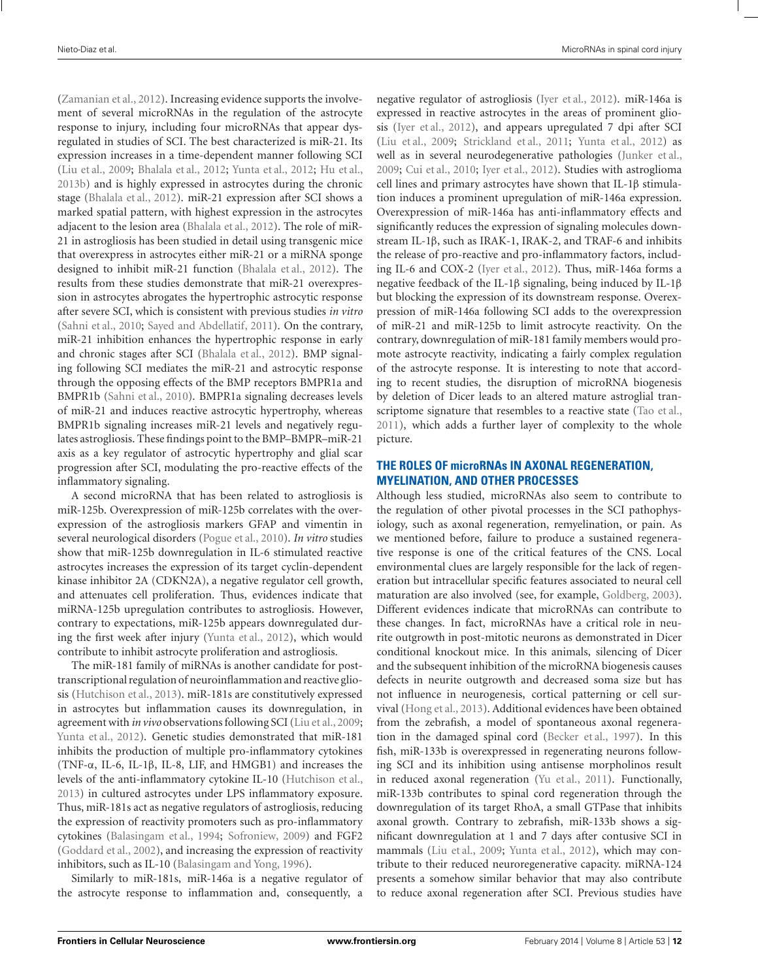[\(Zamanian et al., 2012\)](#page-18-0). Increasing evidence supports the involvement of several microRNAs in the regulation of the astrocyte response to injury, including four microRNAs that appear dysregulated in studies of SCI. The best characterized is miR-21. Its expression increases in a time-dependent manner following SCI [\(Liu et al., 2009;](#page-16-0) [Bhalala et al.](#page-14-0), [2012](#page-14-0); [Yunta et al.](#page-18-0), [2012](#page-18-0); [Hu et al.,](#page-15-0) [2013b](#page-15-0)) and is highly expressed in astrocytes during the chronic stage [\(Bhalala et al.](#page-14-0), [2012\)](#page-14-0). miR-21 expression after SCI shows a marked spatial pattern, with highest expression in the astrocytes adjacent to the lesion area [\(Bhalala et al.](#page-14-0), [2012\)](#page-14-0). The role of miR-21 in astrogliosis has been studied in detail using transgenic mice that overexpress in astrocytes either miR-21 or a miRNA sponge designed to inhibit miR-21 function [\(Bhalala et al.](#page-14-0), [2012](#page-14-0)). The results from these studies demonstrate that miR-21 overexpression in astrocytes abrogates the hypertrophic astrocytic response after severe SCI, which is consistent with previous studies *in vitro* [\(Sahni et al.](#page-17-0), [2010](#page-17-0); [Sayed and Abdellatif, 2011\)](#page-17-0). On the contrary, miR-21 inhibition enhances the hypertrophic response in early and chronic stages after SCI [\(Bhalala et al.](#page-14-0), [2012](#page-14-0)). BMP signaling following SCI mediates the miR-21 and astrocytic response through the opposing effects of the BMP receptors BMPR1a and BMPR1b [\(Sahni et al., 2010\)](#page-17-0). BMPR1a signaling decreases levels of miR-21 and induces reactive astrocytic hypertrophy, whereas BMPR1b signaling increases miR-21 levels and negatively regulates astrogliosis. These findings point to the BMP–BMPR–miR-21 axis as a key regulator of astrocytic hypertrophy and glial scar progression after SCI, modulating the pro-reactive effects of the inflammatory signaling.

A second microRNA that has been related to astrogliosis is miR-125b. Overexpression of miR-125b correlates with the overexpression of the astrogliosis markers GFAP and vimentin in several neurological disorders [\(Pogue et al., 2010](#page-16-0)). *In vitro* studies show that miR-125b downregulation in IL-6 stimulated reactive astrocytes increases the expression of its target cyclin-dependent kinase inhibitor 2A (CDKN2A), a negative regulator cell growth, and attenuates cell proliferation. Thus, evidences indicate that miRNA-125b upregulation contributes to astrogliosis. However, contrary to expectations, miR-125b appears downregulated during the first week after injury [\(Yunta et al.](#page-18-0), [2012\)](#page-18-0), which would contribute to inhibit astrocyte proliferation and astrogliosis.

The miR-181 family of miRNAs is another candidate for posttranscriptional regulation of neuroinflammation and reactive gliosis [\(Hutchison et al., 2013](#page-15-0)). miR-181s are constitutively expressed in astrocytes but inflammation causes its downregulation, in agreement with *in vivo* observations following SCI [\(Liu et al.](#page-16-0), [2009;](#page-16-0) [Yunta et al.](#page-18-0), [2012\)](#page-18-0). Genetic studies demonstrated that miR-181 inhibits the production of multiple pro-inflammatory cytokines (TNF-α, IL-6, IL-1β, IL-8, LIF, and HMGB1) and increases the levels of the anti-inflammatory cytokine IL-10 [\(Hutchison et al.](#page-15-0), [2013\)](#page-15-0) in cultured astrocytes under LPS inflammatory exposure. Thus, miR-181s act as negative regulators of astrogliosis, reducing the expression of reactivity promoters such as pro-inflammatory cytokines [\(Balasingam et al., 1994;](#page-14-0) [Sofroniew, 2009\)](#page-17-0) and FGF2 [\(Goddard et al.](#page-15-0), [2002\)](#page-15-0), and increasing the expression of reactivity inhibitors, such as IL-10 [\(Balasingam and Yong, 1996](#page-14-0)).

Similarly to miR-181s, miR-146a is a negative regulator of the astrocyte response to inflammation and, consequently, a negative regulator of astrogliosis [\(Iyer et al., 2012](#page-15-0)). miR-146a is expressed in reactive astrocytes in the areas of prominent gliosis [\(Iyer et al., 2012\)](#page-15-0), and appears upregulated 7 dpi after SCI [\(Liu et al.](#page-16-0), [2009;](#page-16-0) [Strickland et al.](#page-17-0), [2011;](#page-17-0) [Yunta et al., 2012\)](#page-18-0) as well as in several neurodegenerative pathologies [\(Junker et al.,](#page-16-0) [2009](#page-16-0); [Cui et al.](#page-14-0), [2010](#page-14-0); [Iyer et al.](#page-15-0), [2012](#page-15-0)). Studies with astroglioma cell lines and primary astrocytes have shown that IL-1β stimulation induces a prominent upregulation of miR-146a expression. Overexpression of miR-146a has anti-inflammatory effects and significantly reduces the expression of signaling molecules downstream IL-1β, such as IRAK-1, IRAK-2, and TRAF-6 and inhibits the release of pro-reactive and pro-inflammatory factors, including IL-6 and COX-2 [\(Iyer et al.](#page-15-0), [2012](#page-15-0)). Thus, miR-146a forms a negative feedback of the IL-1β signaling, being induced by IL-1β but blocking the expression of its downstream response. Overexpression of miR-146a following SCI adds to the overexpression of miR-21 and miR-125b to limit astrocyte reactivity. On the contrary, downregulation of miR-181 family members would promote astrocyte reactivity, indicating a fairly complex regulation of the astrocyte response. It is interesting to note that according to recent studies, the disruption of microRNA biogenesis by deletion of Dicer leads to an altered mature astroglial transcriptome signature that resembles to a reactive state [\(Tao et al.,](#page-17-0) [2011](#page-17-0)), which adds a further layer of complexity to the whole picture.

## **THE ROLES OF microRNAs IN AXONAL REGENERATION, MYELINATION, AND OTHER PROCESSES**

Although less studied, microRNAs also seem to contribute to the regulation of other pivotal processes in the SCI pathophysiology, such as axonal regeneration, remyelination, or pain. As we mentioned before, failure to produce a sustained regenerative response is one of the critical features of the CNS. Local environmental clues are largely responsible for the lack of regeneration but intracellular specific features associated to neural cell maturation are also involved (see, for example, [Goldberg](#page-15-0), [2003](#page-15-0)). Different evidences indicate that microRNAs can contribute to these changes. In fact, microRNAs have a critical role in neurite outgrowth in post-mitotic neurons as demonstrated in Dicer conditional knockout mice. In this animals, silencing of Dicer and the subsequent inhibition of the microRNA biogenesis causes defects in neurite outgrowth and decreased soma size but has not influence in neurogenesis, cortical patterning or cell survival [\(Hong et al.](#page-15-0), [2013](#page-15-0)). Additional evidences have been obtained from the zebrafish, a model of spontaneous axonal regeneration in the damaged spinal cord [\(Becker et al.](#page-14-0), [1997\)](#page-14-0). In this fish, miR-133b is overexpressed in regenerating neurons following SCI and its inhibition using antisense morpholinos result in reduced axonal regeneration [\(Yu et al., 2011\)](#page-18-0). Functionally, miR-133b contributes to spinal cord regeneration through the downregulation of its target RhoA, a small GTPase that inhibits axonal growth. Contrary to zebrafish, miR-133b shows a significant downregulation at 1 and 7 days after contusive SCI in mammals [\(Liu et al.](#page-16-0), [2009;](#page-16-0) [Yunta et al., 2012](#page-18-0)), which may contribute to their reduced neuroregenerative capacity. miRNA-124 presents a somehow similar behavior that may also contribute to reduce axonal regeneration after SCI. Previous studies have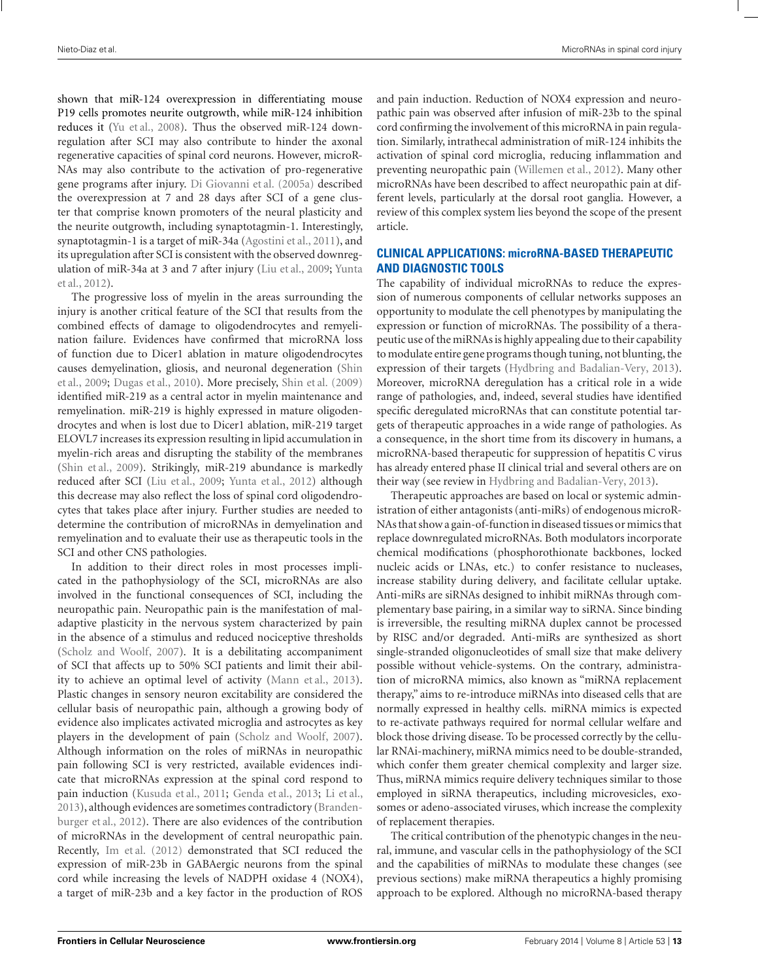shown that miR-124 overexpression in differentiating mouse P19 cells promotes neurite outgrowth, while miR-124 inhibition reduces it [\(Yu et al., 2008\)](#page-18-0). Thus the observed miR-124 downregulation after SCI may also contribute to hinder the axonal regenerative capacities of spinal cord neurons. However, microR-NAs may also contribute to the activation of pro-regenerative gene programs after injury. [Di Giovanni et al.](#page-14-0) [\(2005a](#page-14-0)) described the overexpression at 7 and 28 days after SCI of a gene cluster that comprise known promoters of the neural plasticity and the neurite outgrowth, including synaptotagmin-1. Interestingly, synaptotagmin-1 is a target of miR-34a [\(Agostini et al.](#page-14-0), [2011](#page-14-0)), and its upregulation after SCI is consistent with the observed downregulati[on of miR-34a at 3 and 7 after injury](#page-18-0) [\(Liu et al., 2009](#page-16-0)[;](#page-18-0) Yunta et al., [2012\)](#page-18-0).

The progressive loss of myelin in the areas surrounding the injury is another critical feature of the SCI that results from the combined effects of damage to oligodendrocytes and remyelination failure. Evidences have confirmed that microRNA loss of function due to Dicer1 ablation in mature oligodendrocytes caus[es](#page-17-0) [demyelination,](#page-17-0) [gliosis,](#page-17-0) [and](#page-17-0) [neuronal](#page-17-0) [degeneration](#page-17-0) [\(](#page-17-0)Shin et al., [2009;](#page-17-0) [Dugas et al., 2010\)](#page-15-0). More precisely, [Shin et al.](#page-17-0) [\(2009](#page-17-0)) identified miR-219 as a central actor in myelin maintenance and remyelination. miR-219 is highly expressed in mature oligodendrocytes and when is lost due to Dicer1 ablation, miR-219 target ELOVL7 increases its expression resulting in lipid accumulation in myelin-rich areas and disrupting the stability of the membranes [\(Shin et al.](#page-17-0), [2009](#page-17-0)). Strikingly, miR-219 abundance is markedly reduced after SCI [\(Liu et al.](#page-16-0), [2009](#page-16-0); [Yunta et al.](#page-18-0), [2012\)](#page-18-0) although this decrease may also reflect the loss of spinal cord oligodendrocytes that takes place after injury. Further studies are needed to determine the contribution of microRNAs in demyelination and remyelination and to evaluate their use as therapeutic tools in the SCI and other CNS pathologies.

In addition to their direct roles in most processes implicated in the pathophysiology of the SCI, microRNAs are also involved in the functional consequences of SCI, including the neuropathic pain. Neuropathic pain is the manifestation of maladaptive plasticity in the nervous system characterized by pain in the absence of a stimulus and reduced nociceptive thresholds [\(Scholz and Woolf](#page-17-0), [2007\)](#page-17-0). It is a debilitating accompaniment of SCI that affects up to 50% SCI patients and limit their ability to achieve an optimal level of activity [\(Mann et al.](#page-16-0), [2013](#page-16-0)). Plastic changes in sensory neuron excitability are considered the cellular basis of neuropathic pain, although a growing body of evidence also implicates activated microglia and astrocytes as key players in the development of pain [\(Scholz and Woolf](#page-17-0), [2007](#page-17-0)). Although information on the roles of miRNAs in neuropathic pain following SCI is very restricted, available evidences indicate that microRNAs expression at the spinal cord respond to pain induction [\(Kusuda et al.](#page-16-0), [2011](#page-16-0); [Genda et al., 2013](#page-15-0); [Li et al.,](#page-16-0) [2013\)](#page-16-0), altho[ugh evidences are sometimes contradictory \(](#page-14-0)Brandenburger et al., [2012\)](#page-14-0). There are also evidences of the contribution of microRNAs in the development of central neuropathic pain. Recently, [Im et al.](#page-15-0) [\(2012\)](#page-15-0) demonstrated that SCI reduced the expression of miR-23b in GABAergic neurons from the spinal cord while increasing the levels of NADPH oxidase 4 (NOX4), a target of miR-23b and a key factor in the production of ROS and pain induction. Reduction of NOX4 expression and neuropathic pain was observed after infusion of miR-23b to the spinal cord confirming the involvement of this microRNA in pain regulation. Similarly, intrathecal administration of miR-124 inhibits the activation of spinal cord microglia, reducing inflammation and preventing neuropathic pain [\(Willemen et al.](#page-17-0), [2012\)](#page-17-0). Many other microRNAs have been described to affect neuropathic pain at different levels, particularly at the dorsal root ganglia. However, a review of this complex system lies beyond the scope of the present article.

## **CLINICAL APPLICATIONS: microRNA-BASED THERAPEUTIC AND DIAGNOSTIC TOOLS**

The capability of individual microRNAs to reduce the expression of numerous components of cellular networks supposes an opportunity to modulate the cell phenotypes by manipulating the expression or function of microRNAs. The possibility of a therapeutic use of the miRNAs is highly appealing due to their capability to modulate entire gene programs though tuning, not blunting, the expression of their targets [\(Hydbring and Badalian-Very, 2013](#page-15-0)). Moreover, microRNA deregulation has a critical role in a wide range of pathologies, and, indeed, several studies have identified specific deregulated microRNAs that can constitute potential targets of therapeutic approaches in a wide range of pathologies. As a consequence, in the short time from its discovery in humans, a microRNA-based therapeutic for suppression of hepatitis C virus has already entered phase II clinical trial and several others are on their way (see review in [Hydbring and Badalian-Very, 2013](#page-15-0)).

Therapeutic approaches are based on local or systemic administration of either antagonists (anti-miRs) of endogenous microR-NAs that show a gain-of-function in diseased tissues or mimics that replace downregulated microRNAs. Both modulators incorporate chemical modifications (phosphorothionate backbones, locked nucleic acids or LNAs, etc.) to confer resistance to nucleases, increase stability during delivery, and facilitate cellular uptake. Anti-miRs are siRNAs designed to inhibit miRNAs through complementary base pairing, in a similar way to siRNA. Since binding is irreversible, the resulting miRNA duplex cannot be processed by RISC and/or degraded. Anti-miRs are synthesized as short single-stranded oligonucleotides of small size that make delivery possible without vehicle-systems. On the contrary, administration of microRNA mimics, also known as "miRNA replacement therapy," aims to re-introduce miRNAs into diseased cells that are normally expressed in healthy cells. miRNA mimics is expected to re-activate pathways required for normal cellular welfare and block those driving disease. To be processed correctly by the cellular RNAi-machinery, miRNA mimics need to be double-stranded, which confer them greater chemical complexity and larger size. Thus, miRNA mimics require delivery techniques similar to those employed in siRNA therapeutics, including microvesicles, exosomes or adeno-associated viruses, which increase the complexity of replacement therapies.

The critical contribution of the phenotypic changes in the neural, immune, and vascular cells in the pathophysiology of the SCI and the capabilities of miRNAs to modulate these changes (see previous sections) make miRNA therapeutics a highly promising approach to be explored. Although no microRNA-based therapy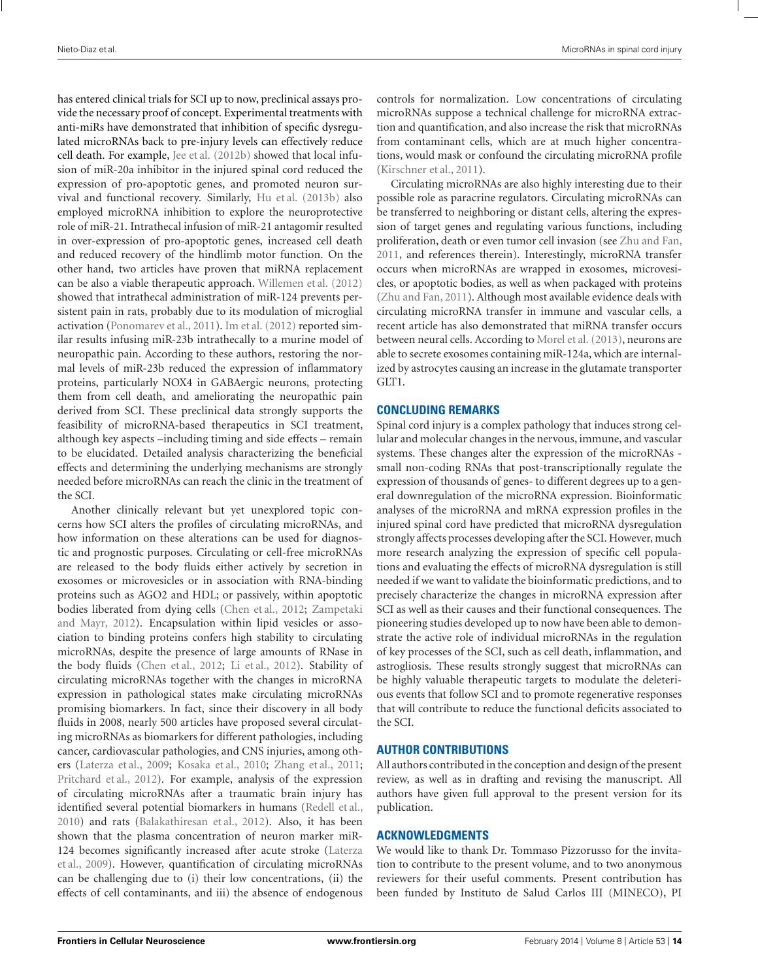has entered clinical trials for SCI up to now, preclinical assays provide the necessary proof of concept. Experimental treatments with anti-miRs have demonstrated that inhibition of specific dysregulated microRNAs back to pre-injury levels can effectively reduce cell death. For example, [Jee et al.](#page-15-0) [\(2012b](#page-15-0)) showed that local infusion of miR-20a inhibitor in the injured spinal cord reduced the expression of pro-apoptotic genes, and promoted neuron survival and functional recovery. Similarly, [Hu et al.](#page-15-0) [\(2013b\)](#page-15-0) also employed microRNA inhibition to explore the neuroprotective role of miR-21. Intrathecal infusion of miR-21 antagomir resulted in over-expression of pro-apoptotic genes, increased cell death and reduced recovery of the hindlimb motor function. On the other hand, two articles have proven that miRNA replacement can be also a viable therapeutic approach. [Willemen et al.](#page-17-0) [\(2012](#page-17-0)) showed that intrathecal administration of miR-124 prevents persistent pain in rats, probably due to its modulation of microglial activation [\(Ponomarev et al.](#page-17-0), [2011](#page-17-0)). [Im et al.](#page-15-0) [\(2012\)](#page-15-0) reported similar results infusing miR-23b intrathecally to a murine model of neuropathic pain. According to these authors, restoring the normal levels of miR-23b reduced the expression of inflammatory proteins, particularly NOX4 in GABAergic neurons, protecting them from cell death, and ameliorating the neuropathic pain derived from SCI. These preclinical data strongly supports the feasibility of microRNA-based therapeutics in SCI treatment, although key aspects –including timing and side effects – remain to be elucidated. Detailed analysis characterizing the beneficial effects and determining the underlying mechanisms are strongly needed before microRNAs can reach the clinic in the treatment of the SCI.

Another clinically relevant but yet unexplored topic concerns how SCI alters the profiles of circulating microRNAs, and how information on these alterations can be used for diagnostic and prognostic purposes. Circulating or cell-free microRNAs are released to the body fluids either actively by secretion in exosomes or microvesicles or in association with RNA-binding proteins such as AGO2 and HDL; or passively, within apoptotic bodies lib[erated from dying cells](#page-18-0) [\(Chen et al.](#page-14-0)[,](#page-18-0) [2012](#page-14-0)[;](#page-18-0) Zampetaki and Mayr, [2012](#page-18-0)). Encapsulation within lipid vesicles or association to binding proteins confers high stability to circulating microRNAs, despite the presence of large amounts of RNase in the body fluids [\(Chen et al.](#page-14-0), [2012](#page-14-0); [Li et al.](#page-16-0), [2012](#page-16-0)). Stability of circulating microRNAs together with the changes in microRNA expression in pathological states make circulating microRNAs promising biomarkers. In fact, since their discovery in all body fluids in 2008, nearly 500 articles have proposed several circulating microRNAs as biomarkers for different pathologies, including cancer, cardiovascular pathologies, and CNS injuries, among others [\(Laterza et al., 2009;](#page-16-0) [Kosaka et al.](#page-16-0), [2010;](#page-16-0) [Zhang et al., 2011;](#page-18-0) [Pritchard et al., 2012\)](#page-17-0). For example, analysis of the expression of circulating microRNAs after a traumatic brain injury has identified several potential biomarkers in humans [\(Redell et al.](#page-17-0), [2010\)](#page-17-0) and rats [\(Balakathiresan et al.](#page-14-0), [2012\)](#page-14-0). Also, it has been shown that the plasma concentration of neuron marker miR-124 [becomes significantly increased after acute stroke \(](#page-16-0)Laterza et al., [2009](#page-16-0)). However, quantification of circulating microRNAs can be challenging due to (i) their low concentrations, (ii) the effects of cell contaminants, and iii) the absence of endogenous controls for normalization. Low concentrations of circulating microRNAs suppose a technical challenge for microRNA extraction and quantification, and also increase the risk that microRNAs from contaminant cells, which are at much higher concentrations, would mask or confound the circulating microRNA profile [\(Kirschner et al.](#page-16-0), [2011\)](#page-16-0).

Circulating microRNAs are also highly interesting due to their possible role as paracrine regulators. Circulating microRNAs can be transferred to neighboring or distant cells, altering the expression of target genes and regulating various functions, including proliferation, death or even tumor cell invasion (see [Zhu and Fan,](#page-18-0) [2011](#page-18-0), and references therein). Interestingly, microRNA transfer occurs when microRNAs are wrapped in exosomes, microvesicles, or apoptotic bodies, as well as when packaged with proteins [\(Zhu and Fan, 2011\)](#page-18-0). Although most available evidence deals with circulating microRNA transfer in immune and vascular cells, a recent article has also demonstrated that miRNA transfer occurs between neural cells. According to [Morel et al.](#page-16-0) [\(2013](#page-16-0)), neurons are able to secrete exosomes containing miR-124a, which are internalized by astrocytes causing an increase in the glutamate transporter GLT1.

## **CONCLUDING REMARKS**

Spinal cord injury is a complex pathology that induces strong cellular and molecular changes in the nervous, immune, and vascular systems. These changes alter the expression of the microRNAs small non-coding RNAs that post-transcriptionally regulate the expression of thousands of genes- to different degrees up to a general downregulation of the microRNA expression. Bioinformatic analyses of the microRNA and mRNA expression profiles in the injured spinal cord have predicted that microRNA dysregulation strongly affects processes developing after the SCI. However, much more research analyzing the expression of specific cell populations and evaluating the effects of microRNA dysregulation is still needed if we want to validate the bioinformatic predictions, and to precisely characterize the changes in microRNA expression after SCI as well as their causes and their functional consequences. The pioneering studies developed up to now have been able to demonstrate the active role of individual microRNAs in the regulation of key processes of the SCI, such as cell death, inflammation, and astrogliosis. These results strongly suggest that microRNAs can be highly valuable therapeutic targets to modulate the deleterious events that follow SCI and to promote regenerative responses that will contribute to reduce the functional deficits associated to the SCI.

## **AUTHOR CONTRIBUTIONS**

All authors contributed in the conception and design of the present review, as well as in drafting and revising the manuscript. All authors have given full approval to the present version for its publication.

## **ACKNOWLEDGMENTS**

We would like to thank Dr. Tommaso Pizzorusso for the invitation to contribute to the present volume, and to two anonymous reviewers for their useful comments. Present contribution has been funded by Instituto de Salud Carlos III (MINECO), PI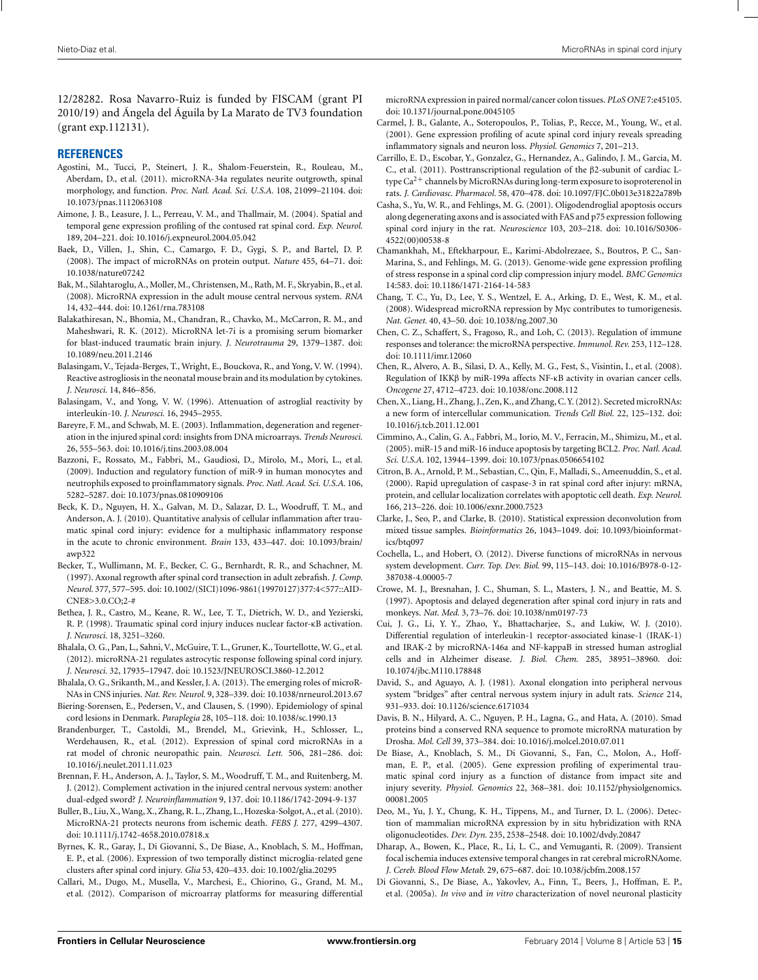<span id="page-14-0"></span>12/28282. Rosa Navarro-Ruiz is funded by FISCAM (grant PI 2010/19) and Ángela del Águila by La Marato de TV3 foundation (grant exp.112131).

#### **REFERENCES**

- Agostini, M., Tucci, P., Steinert, J. R., Shalom-Feuerstein, R., Rouleau, M., Aberdam, D., et al. (2011). microRNA-34a regulates neurite outgrowth, spinal morphology, and function. *Proc. Natl. Acad. Sci. U.S.A.* 108, 21099–21104. doi: 10.1073/pnas.1112063108
- Aimone, J. B., Leasure, J. L., Perreau, V. M., and Thallmair, M. (2004). Spatial and temporal gene expression profiling of the contused rat spinal cord. *Exp. Neurol.* 189, 204–221. doi: 10.1016/j.expneurol.2004.05.042
- Baek, D., Villen, J., Shin, C., Camargo, F. D., Gygi, S. P., and Bartel, D. P. (2008). The impact of microRNAs on protein output. *Nature* 455, 64–71. doi: 10.1038/nature07242
- Bak, M., Silahtaroglu, A., Moller, M., Christensen, M., Rath, M. F., Skryabin, B., et al. (2008). MicroRNA expression in the adult mouse central nervous system. *RNA* 14, 432–444. doi: 10.1261/rna.783108
- Balakathiresan, N., Bhomia, M., Chandran, R., Chavko, M., McCarron, R. M., and Maheshwari, R. K. (2012). MicroRNA let-7i is a promising serum biomarker for blast-induced traumatic brain injury. *J. Neurotrauma* 29, 1379–1387. doi: 10.1089/neu.2011.2146
- Balasingam, V., Tejada-Berges, T., Wright, E., Bouckova, R., and Yong, V. W. (1994). Reactive astrogliosis in the neonatal mouse brain and its modulation by cytokines. *J. Neurosci.* 14, 846–856.
- Balasingam, V., and Yong, V. W. (1996). Attenuation of astroglial reactivity by interleukin-10. *J. Neurosci.* 16, 2945–2955.
- Bareyre, F. M., and Schwab, M. E. (2003). Inflammation, degeneration and regeneration in the injured spinal cord: insights from DNA microarrays. *Trends Neurosci.* 26, 555–563. doi: 10.1016/j.tins.2003.08.004
- Bazzoni, F., Rossato, M., Fabbri, M., Gaudiosi, D., Mirolo, M., Mori, L., et al. (2009). Induction and regulatory function of miR-9 in human monocytes and neutrophils exposed to proinflammatory signals. *Proc. Natl. Acad. Sci. U.S.A.* 106, 5282–5287. doi: 10.1073/pnas.0810909106
- Beck, K. D., Nguyen, H. X., Galvan, M. D., Salazar, D. L., Woodruff, T. M., and Anderson, A. J. (2010). Quantitative analysis of cellular inflammation after traumatic spinal cord injury: evidence for a multiphasic inflammatory response in the acute to chronic environment. *Brain* 133, 433–447. doi: 10.1093/brain/ awp322
- Becker, T., Wullimann, M. F., Becker, C. G., Bernhardt, R. R., and Schachner, M. (1997). Axonal regrowth after spinal cord transection in adult zebrafish. *J. Comp. Neurol.* 377, 577–595. doi: 10.1002/(SICI)1096-9861(19970127)377:4<577::AID-CNE8>3.0.CO;2-#
- Bethea, J. R., Castro, M., Keane, R. W., Lee, T. T., Dietrich, W. D., and Yezierski, R. P. (1998). Traumatic spinal cord injury induces nuclear factor-κB activation. *J. Neurosci.* 18, 3251–3260.
- Bhalala, O. G., Pan, L., Sahni, V., McGuire, T. L., Gruner, K., Tourtellotte,W. G., et al. (2012). microRNA-21 regulates astrocytic response following spinal cord injury. *J. Neurosci.* 32, 17935–17947. doi: 10.1523/JNEUROSCI.3860-12.2012
- Bhalala, O. G., Srikanth, M., and Kessler, J. A. (2013). The emerging roles of microR-NAs in CNS injuries. *Nat. Rev. Neurol.* 9, 328–339. doi: 10.1038/nrneurol.2013.67
- Biering-Sorensen, E., Pedersen, V., and Clausen, S. (1990). Epidemiology of spinal cord lesions in Denmark. *Paraplegia* 28, 105–118. doi: 10.1038/sc.1990.13
- Brandenburger, T., Castoldi, M., Brendel, M., Grievink, H., Schlosser, L., Werdehausen, R., et al. (2012). Expression of spinal cord microRNAs in a rat model of chronic neuropathic pain. *Neurosci. Lett.* 506, 281–286. doi: 10.1016/j.neulet.2011.11.023
- Brennan, F. H., Anderson, A. J., Taylor, S. M., Woodruff, T. M., and Ruitenberg, M. J. (2012). Complement activation in the injured central nervous system: another dual-edged sword? *J. Neuroinflammation* 9, 137. doi: 10.1186/1742-2094-9-137
- Buller, B., Liu, X.,Wang, X., Zhang, R. L., Zhang, L., Hozeska-Solgot, A., et al. (2010). MicroRNA-21 protects neurons from ischemic death. *FEBS J.* 277, 4299–4307. doi: 10.1111/j.1742-4658.2010.07818.x
- Byrnes, K. R., Garay, J., Di Giovanni, S., De Biase, A., Knoblach, S. M., Hoffman, E. P., et al. (2006). Expression of two temporally distinct microglia-related gene clusters after spinal cord injury. *Glia* 53, 420–433. doi: 10.1002/glia.20295
- Callari, M., Dugo, M., Musella, V., Marchesi, E., Chiorino, G., Grand, M. M., et al. (2012). Comparison of microarray platforms for measuring differential

microRNA expression in paired normal/cancer colon tissues. *PLoS ONE* 7:e45105. doi: 10.1371/journal.pone.0045105

- Carmel, J. B., Galante, A., Soteropoulos, P., Tolias, P., Recce, M., Young, W., et al. (2001). Gene expression profiling of acute spinal cord injury reveals spreading inflammatory signals and neuron loss. *Physiol. Genomics* 7, 201–213.
- Carrillo, E. D., Escobar, Y., Gonzalez, G., Hernandez, A., Galindo, J. M., Garcia, M. C., et al. (2011). Posttranscriptional regulation of the β2-subunit of cardiac Ltype  $Ca^{2+}$  channels by MicroRNAs during long-term exposure to isoproterenol in rats. *J. Cardiovasc. Pharmacol.* 58, 470–478. doi: 10.1097/FJC.0b013e31822a789b
- Casha, S., Yu, W. R., and Fehlings, M. G. (2001). Oligodendroglial apoptosis occurs along degenerating axons and is associated with FAS and p75 expression following spinal cord injury in the rat. *Neuroscience* 103, 203–218. doi: 10.1016/S0306- 4522(00)00538-8
- Chamankhah, M., Eftekharpour, E., Karimi-Abdolrezaee, S., Boutros, P. C., San-Marina, S., and Fehlings, M. G. (2013). Genome-wide gene expression profiling of stress response in a spinal cord clip compression injury model. *BMC Genomics* 14:583. doi: 10.1186/1471-2164-14-583
- Chang, T. C., Yu, D., Lee, Y. S., Wentzel, E. A., Arking, D. E., West, K. M., et al. (2008). Widespread microRNA repression by Myc contributes to tumorigenesis. *Nat. Genet.* 40, 43–50. doi: 10.1038/ng.2007.30
- Chen, C. Z., Schaffert, S., Fragoso, R., and Loh, C. (2013). Regulation of immune responses and tolerance: the microRNA perspective. *Immunol. Rev.* 253, 112–128. doi: 10.1111/imr.12060
- Chen, R., Alvero, A. B., Silasi, D. A., Kelly, M. G., Fest, S., Visintin, I., et al. (2008). Regulation of IKKβ by miR-199a affects NF-κB activity in ovarian cancer cells. *Oncogene* 27, 4712–4723. doi: 10.1038/onc.2008.112
- Chen, X., Liang, H., Zhang, J., Zen, K., and Zhang, C.Y. (2012). Secreted microRNAs: a new form of intercellular communication. *Trends Cell Biol.* 22, 125–132. doi: 10.1016/j.tcb.2011.12.001
- Cimmino, A., Calin, G. A., Fabbri, M., Iorio, M. V., Ferracin, M., Shimizu, M., et al. (2005). miR-15 and miR-16 induce apoptosis by targeting BCL2. *Proc. Natl. Acad. Sci. U.S.A.* 102, 13944–1399. doi: 10.1073/pnas.0506654102
- Citron, B. A., Arnold, P. M., Sebastian, C., Qin, F., Malladi, S., Ameenuddin, S., et al. (2000). Rapid upregulation of caspase-3 in rat spinal cord after injury: mRNA, protein, and cellular localization correlates with apoptotic cell death. *Exp. Neurol.* 166, 213–226. doi: 10.1006/exnr.2000.7523
- Clarke, J., Seo, P., and Clarke, B. (2010). Statistical expression deconvolution from mixed tissue samples. *Bioinformatics* 26, 1043–1049. doi: 10.1093/bioinformatics/btq097
- Cochella, L., and Hobert, O. (2012). Diverse functions of microRNAs in nervous system development. *Curr. Top. Dev. Biol.* 99, 115–143. doi: 10.1016/B978-0-12- 387038-4.00005-7
- Crowe, M. J., Bresnahan, J. C., Shuman, S. L., Masters, J. N., and Beattie, M. S. (1997). Apoptosis and delayed degeneration after spinal cord injury in rats and monkeys. *Nat. Med.* 3, 73–76. doi: 10.1038/nm0197-73
- Cui, J. G., Li, Y. Y., Zhao, Y., Bhattacharjee, S., and Lukiw, W. J. (2010). Differential regulation of interleukin-1 receptor-associated kinase-1 (IRAK-1) and IRAK-2 by microRNA-146a and NF-kappaB in stressed human astroglial cells and in Alzheimer disease. *J. Biol. Chem.* 285, 38951–38960. doi: 10.1074/jbc.M110.178848
- David, S., and Aguayo, A. J. (1981). Axonal elongation into peripheral nervous system "bridges" after central nervous system injury in adult rats. *Science* 214, 931–933. doi: 10.1126/science.6171034
- Davis, B. N., Hilyard, A. C., Nguyen, P. H., Lagna, G., and Hata, A. (2010). Smad proteins bind a conserved RNA sequence to promote microRNA maturation by Drosha. *Mol. Cell* 39, 373–384. doi: 10.1016/j.molcel.2010.07.011
- De Biase, A., Knoblach, S. M., Di Giovanni, S., Fan, C., Molon, A., Hoffman, E. P., et al. (2005). Gene expression profiling of experimental traumatic spinal cord injury as a function of distance from impact site and injury severity. *Physiol. Genomics* 22, 368–381. doi: 10.1152/physiolgenomics. 00081.2005
- Deo, M., Yu, J. Y., Chung, K. H., Tippens, M., and Turner, D. L. (2006). Detection of mammalian microRNA expression by in situ hybridization with RNA oligonucleotides. *Dev. Dyn.* 235, 2538–2548. doi: 10.1002/dvdy.20847
- Dharap, A., Bowen, K., Place, R., Li, L. C., and Vemuganti, R. (2009). Transient focal ischemia induces extensive temporal changes in rat cerebral microRNAome. *J. Cereb. Blood Flow Metab.* 29, 675–687. doi: 10.1038/jcbfm.2008.157
- Di Giovanni, S., De Biase, A., Yakovlev, A., Finn, T., Beers, J., Hoffman, E. P., et al. (2005a). *In vivo* and *in vitro* characterization of novel neuronal plasticity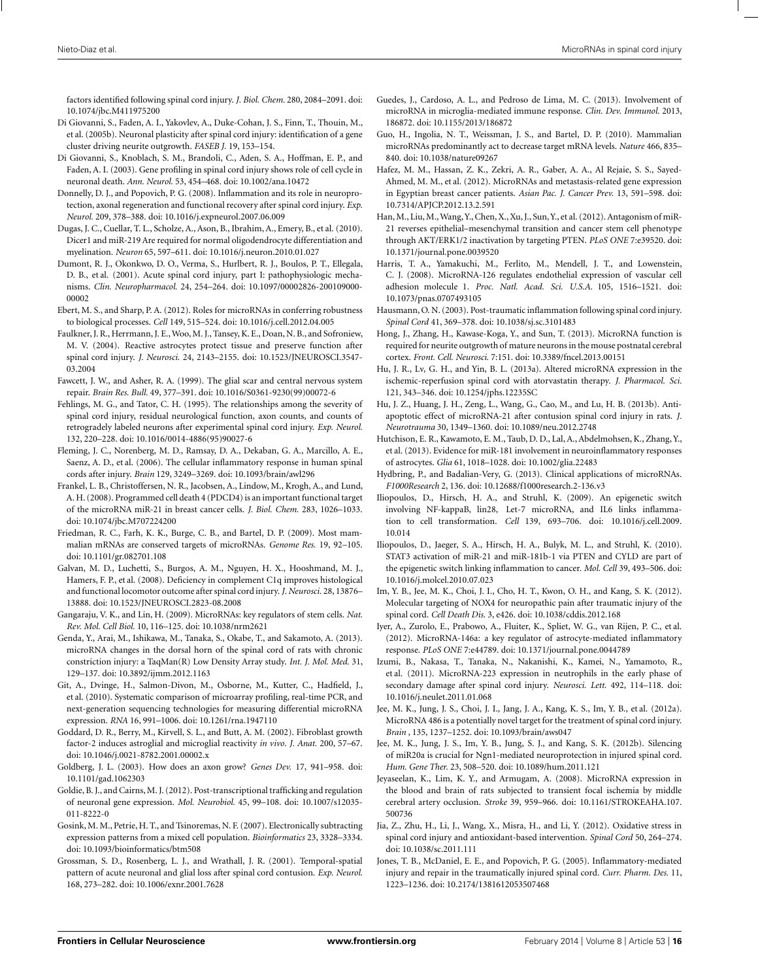<span id="page-15-0"></span>factors identified following spinal cord injury. *J. Biol. Chem.* 280, 2084–2091. doi: 10.1074/jbc.M411975200

- Di Giovanni, S., Faden, A. I., Yakovlev, A., Duke-Cohan, J. S., Finn, T., Thouin, M., et al. (2005b). Neuronal plasticity after spinal cord injury: identification of a gene cluster driving neurite outgrowth. *FASEB J.* 19, 153–154.
- Di Giovanni, S., Knoblach, S. M., Brandoli, C., Aden, S. A., Hoffman, E. P., and Faden, A. I. (2003). Gene profiling in spinal cord injury shows role of cell cycle in neuronal death. *Ann. Neurol.* 53, 454–468. doi: 10.1002/ana.10472
- Donnelly, D. J., and Popovich, P. G. (2008). Inflammation and its role in neuroprotection, axonal regeneration and functional recovery after spinal cord injury. *Exp. Neurol.* 209, 378–388. doi: 10.1016/j.expneurol.2007.06.009
- Dugas, J. C., Cuellar, T. L., Scholze, A., Ason, B., Ibrahim, A., Emery, B., et al. (2010). Dicer1 and miR-219 Are required for normal oligodendrocyte differentiation and myelination. *Neuron* 65, 597–611. doi: 10.1016/j.neuron.2010.01.027
- Dumont, R. J., Okonkwo, D. O., Verma, S., Hurlbert, R. J., Boulos, P. T., Ellegala, D. B., et al. (2001). Acute spinal cord injury, part I: pathophysiologic mechanisms. *Clin. Neuropharmacol.* 24, 254–264. doi: 10.1097/00002826-200109000- 00002
- Ebert, M. S., and Sharp, P. A. (2012). Roles for microRNAs in conferring robustness to biological processes. *Cell* 149, 515–524. doi: 10.1016/j.cell.2012.04.005
- Faulkner, J. R., Herrmann, J. E.,Woo, M. J., Tansey, K. E., Doan, N. B., and Sofroniew, M. V. (2004). Reactive astrocytes protect tissue and preserve function after spinal cord injury. *J. Neurosci.* 24, 2143–2155. doi: 10.1523/JNEUROSCI.3547- 03.2004
- Fawcett, J. W., and Asher, R. A. (1999). The glial scar and central nervous system repair. *Brain Res. Bull.* 49, 377–391. doi: 10.1016/S0361-9230(99)00072-6
- Fehlings, M. G., and Tator, C. H. (1995). The relationships among the severity of spinal cord injury, residual neurological function, axon counts, and counts of retrogradely labeled neurons after experimental spinal cord injury. *Exp. Neurol.* 132, 220–228. doi: 10.1016/0014-4886(95)90027-6
- Fleming, J. C., Norenberg, M. D., Ramsay, D. A., Dekaban, G. A., Marcillo, A. E., Saenz, A. D., et al. (2006). The cellular inflammatory response in human spinal cords after injury. *Brain* 129, 3249–3269. doi: 10.1093/brain/awl296
- Frankel, L. B., Christoffersen, N. R., Jacobsen, A., Lindow, M., Krogh, A., and Lund, A. H. (2008). Programmed cell death 4 (PDCD4) is an important functional target of the microRNA miR-21 in breast cancer cells. *J. Biol. Chem.* 283, 1026–1033. doi: 10.1074/jbc.M707224200
- Friedman, R. C., Farh, K. K., Burge, C. B., and Bartel, D. P. (2009). Most mammalian mRNAs are conserved targets of microRNAs. *Genome Res.* 19, 92–105. doi: 10.1101/gr.082701.108
- Galvan, M. D., Luchetti, S., Burgos, A. M., Nguyen, H. X., Hooshmand, M. J., Hamers, F. P., et al. (2008). Deficiency in complement C1q improves histological and functional locomotor outcome after spinal cord injury. *J. Neurosci.* 28, 13876– 13888. doi: 10.1523/JNEUROSCI.2823-08.2008
- Gangaraju, V. K., and Lin, H. (2009). MicroRNAs: key regulators of stem cells. *Nat. Rev. Mol. Cell Biol.* 10, 116–125. doi: 10.1038/nrm2621
- Genda, Y., Arai, M., Ishikawa, M., Tanaka, S., Okabe, T., and Sakamoto, A. (2013). microRNA changes in the dorsal horn of the spinal cord of rats with chronic constriction injury: a TaqMan(R) Low Density Array study. *Int. J. Mol. Med.* 31, 129–137. doi: 10.3892/ijmm.2012.1163
- Git, A., Dvinge, H., Salmon-Divon, M., Osborne, M., Kutter, C., Hadfield, J., et al. (2010). Systematic comparison of microarray profiling, real-time PCR, and next-generation sequencing technologies for measuring differential microRNA expression. *RNA* 16, 991–1006. doi: 10.1261/rna.1947110
- Goddard, D. R., Berry, M., Kirvell, S. L., and Butt, A. M. (2002). Fibroblast growth factor-2 induces astroglial and microglial reactivity *in vivo*. *J. Anat.* 200, 57–67. doi: 10.1046/j.0021-8782.2001.00002.x
- Goldberg, J. L. (2003). How does an axon grow? *Genes Dev.* 17, 941–958. doi: 10.1101/gad.1062303
- Goldie, B. J., and Cairns, M. J. (2012). Post-transcriptional trafficking and regulation of neuronal gene expression. *Mol. Neurobiol.* 45, 99–108. doi: 10.1007/s12035- 011-8222-0
- Gosink, M. M., Petrie, H. T., and Tsinoremas, N. F. (2007). Electronically subtracting expression patterns from a mixed cell population. *Bioinformatics* 23, 3328–3334. doi: 10.1093/bioinformatics/btm508
- Grossman, S. D., Rosenberg, L. J., and Wrathall, J. R. (2001). Temporal-spatial pattern of acute neuronal and glial loss after spinal cord contusion. *Exp. Neurol.* 168, 273–282. doi: 10.1006/exnr.2001.7628
- Guedes, J., Cardoso, A. L., and Pedroso de Lima, M. C. (2013). Involvement of microRNA in microglia-mediated immune response. *Clin. Dev. Immunol.* 2013, 186872. doi: 10.1155/2013/186872
- Guo, H., Ingolia, N. T., Weissman, J. S., and Bartel, D. P. (2010). Mammalian microRNAs predominantly act to decrease target mRNA levels. *Nature* 466, 835– 840. doi: 10.1038/nature09267
- Hafez, M. M., Hassan, Z. K., Zekri, A. R., Gaber, A. A., Al Rejaie, S. S., Sayed-Ahmed, M. M., et al. (2012). MicroRNAs and metastasis-related gene expression in Egyptian breast cancer patients. *Asian Pac. J. Cancer Prev.* 13, 591–598. doi: 10.7314/APJCP.2012.13.2.591
- Han,M., Liu,M.,Wang,Y., Chen, X., Xu, J., Sun,Y., et al. (2012). Antagonism of miR-21 reverses epithelial–mesenchymal transition and cancer stem cell phenotype through AKT/ERK1/2 inactivation by targeting PTEN. *PLoS ONE* 7:e39520. doi: 10.1371/journal.pone.0039520
- Harris, T. A., Yamakuchi, M., Ferlito, M., Mendell, J. T., and Lowenstein, C. J. (2008). MicroRNA-126 regulates endothelial expression of vascular cell adhesion molecule 1. *Proc. Natl. Acad. Sci. U.S.A.* 105, 1516–1521. doi: 10.1073/pnas.0707493105
- Hausmann, O. N. (2003). Post-traumatic inflammation following spinal cord injury. *Spinal Cord* 41, 369–378. doi: 10.1038/sj.sc.3101483
- Hong, J., Zhang, H., Kawase-Koga, Y., and Sun, T. (2013). MicroRNA function is required for neurite outgrowth of mature neurons in the mouse postnatal cerebral cortex. *Front. Cell. Neurosci.* 7:151. doi: 10.3389/fncel.2013.00151
- Hu, J. R., Lv, G. H., and Yin, B. L. (2013a). Altered microRNA expression in the ischemic-reperfusion spinal cord with atorvastatin therapy. *J. Pharmacol. Sci.* 121, 343–346. doi: 10.1254/jphs.12235SC
- Hu, J. Z., Huang, J. H., Zeng, L., Wang, G., Cao, M., and Lu, H. B. (2013b). Antiapoptotic effect of microRNA-21 after contusion spinal cord injury in rats. *J. Neurotrauma* 30, 1349–1360. doi: 10.1089/neu.2012.2748
- Hutchison, E. R., Kawamoto, E. M., Taub, D. D., Lal, A., Abdelmohsen, K., Zhang, Y., et al. (2013). Evidence for miR-181 involvement in neuroinflammatory responses of astrocytes. *Glia* 61, 1018–1028. doi: 10.1002/glia.22483
- Hydbring, P., and Badalian-Very, G. (2013). Clinical applications of microRNAs. *F1000Research* 2, 136. doi: 10.12688/f1000research.2-136.v3
- Iliopoulos, D., Hirsch, H. A., and Struhl, K. (2009). An epigenetic switch involving NF-kappaB, lin28, Let-7 microRNA, and IL6 links inflammation to cell transformation. *Cell* 139, 693–706. doi: 10.1016/j.cell.2009. 10.014
- Iliopoulos, D., Jaeger, S. A., Hirsch, H. A., Bulyk, M. L., and Struhl, K. (2010). STAT3 activation of miR-21 and miR-181b-1 via PTEN and CYLD are part of the epigenetic switch linking inflammation to cancer. *Mol. Cell* 39, 493–506. doi: 10.1016/j.molcel.2010.07.023
- Im, Y. B., Jee, M. K., Choi, J. I., Cho, H. T., Kwon, O. H., and Kang, S. K. (2012). Molecular targeting of NOX4 for neuropathic pain after traumatic injury of the spinal cord. *Cell Death Dis.* 3, e426. doi: 10.1038/cddis.2012.168
- Iyer, A., Zurolo, E., Prabowo, A., Fluiter, K., Spliet, W. G., van Rijen, P. C., et al. (2012). MicroRNA-146a: a key regulator of astrocyte-mediated inflammatory response. *PLoS ONE* 7:e44789. doi: 10.1371/journal.pone.0044789
- Izumi, B., Nakasa, T., Tanaka, N., Nakanishi, K., Kamei, N., Yamamoto, R., et al. (2011). MicroRNA-223 expression in neutrophils in the early phase of secondary damage after spinal cord injury. *Neurosci. Lett.* 492, 114–118. doi: 10.1016/j.neulet.2011.01.068
- Jee, M. K., Jung, J. S., Choi, J. I., Jang, J. A., Kang, K. S., Im, Y. B., et al. (2012a). MicroRNA 486 is a potentially novel target for the treatment of spinal cord injury. *Brain* , 135, 1237–1252. doi: 10.1093/brain/aws047
- Jee, M. K., Jung, J. S., Im, Y. B., Jung, S. J., and Kang, S. K. (2012b). Silencing of miR20a is crucial for Ngn1-mediated neuroprotection in injured spinal cord. *Hum. Gene Ther.* 23, 508–520. doi: 10.1089/hum.2011.121
- Jeyaseelan, K., Lim, K. Y., and Armugam, A. (2008). MicroRNA expression in the blood and brain of rats subjected to transient focal ischemia by middle cerebral artery occlusion. *Stroke* 39, 959–966. doi: 10.1161/STROKEAHA.107. 500736
- Jia, Z., Zhu, H., Li, J., Wang, X., Misra, H., and Li, Y. (2012). Oxidative stress in spinal cord injury and antioxidant-based intervention. *Spinal Cord* 50, 264–274. doi: 10.1038/sc.2011.111
- Jones, T. B., McDaniel, E. E., and Popovich, P. G. (2005). Inflammatory-mediated injury and repair in the traumatically injured spinal cord. *Curr. Pharm. Des.* 11, 1223–1236. doi: 10.2174/1381612053507468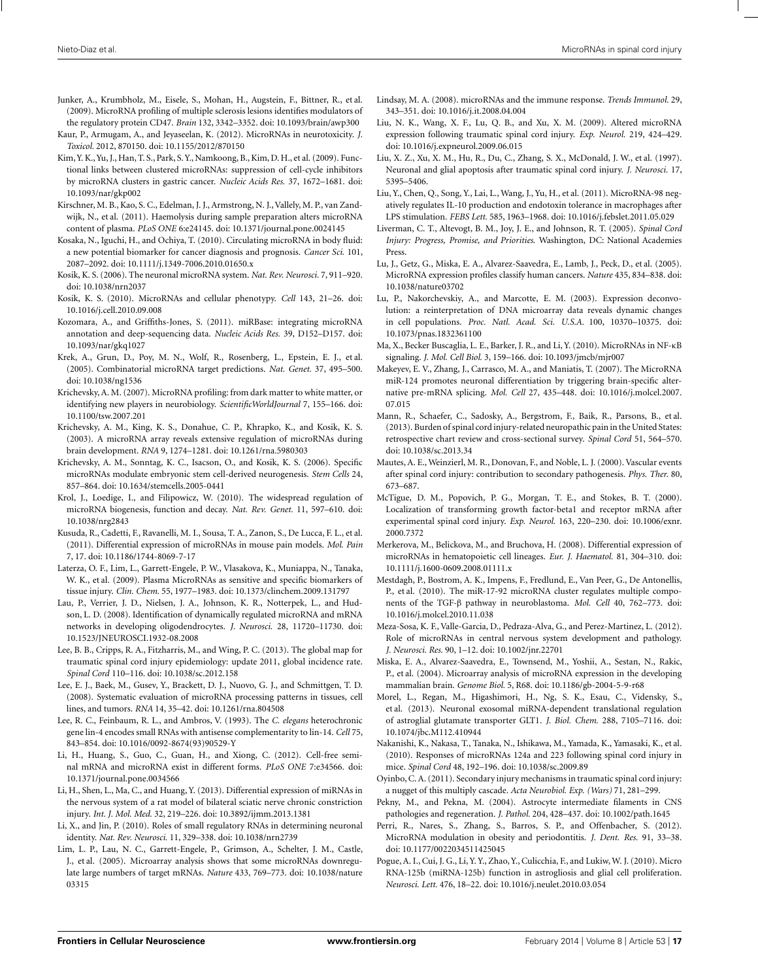- <span id="page-16-0"></span>Junker, A., Krumbholz, M., Eisele, S., Mohan, H., Augstein, F., Bittner, R., et al. (2009). MicroRNA profiling of multiple sclerosis lesions identifies modulators of the regulatory protein CD47. *Brain* 132, 3342–3352. doi: 10.1093/brain/awp300
- Kaur, P., Armugam, A., and Jeyaseelan, K. (2012). MicroRNAs in neurotoxicity. *J. Toxicol.* 2012, 870150. doi: 10.1155/2012/870150
- Kim,Y. K.,Yu, J., Han, T. S., Park, S.Y., Namkoong, B., Kim, D. H., et al. (2009). Functional links between clustered microRNAs: suppression of cell-cycle inhibitors by microRNA clusters in gastric cancer. *Nucleic Acids Res.* 37, 1672–1681. doi: 10.1093/nar/gkp002
- Kirschner, M. B., Kao, S. C., Edelman, J. J., Armstrong, N. J., Vallely, M. P., van Zandwijk, N., et al. (2011). Haemolysis during sample preparation alters microRNA content of plasma. *PLoS ONE* 6:e24145. doi: 10.1371/journal.pone.0024145
- Kosaka, N., Iguchi, H., and Ochiya, T. (2010). Circulating microRNA in body fluid: a new potential biomarker for cancer diagnosis and prognosis. *Cancer Sci.* 101, 2087–2092. doi: 10.1111/j.1349-7006.2010.01650.x
- Kosik, K. S. (2006). The neuronal microRNA system. *Nat. Rev. Neurosci.* 7, 911–920. doi: 10.1038/nrn2037
- Kosik, K. S. (2010). MicroRNAs and cellular phenotypy. *Cell* 143, 21–26. doi: 10.1016/j.cell.2010.09.008
- Kozomara, A., and Griffiths-Jones, S. (2011). miRBase: integrating microRNA annotation and deep-sequencing data. *Nucleic Acids Res.* 39, D152–D157. doi: 10.1093/nar/gkq1027
- Krek, A., Grun, D., Poy, M. N., Wolf, R., Rosenberg, L., Epstein, E. J., et al. (2005). Combinatorial microRNA target predictions. *Nat. Genet.* 37, 495–500. doi: 10.1038/ng1536
- Krichevsky, A. M. (2007). MicroRNA profiling: from dark matter to white matter, or identifying new players in neurobiology. *ScientificWorldJournal* 7, 155–166. doi: 10.1100/tsw.2007.201
- Krichevsky, A. M., King, K. S., Donahue, C. P., Khrapko, K., and Kosik, K. S. (2003). A microRNA array reveals extensive regulation of microRNAs during brain development. *RNA* 9, 1274–1281. doi: 10.1261/rna.5980303
- Krichevsky, A. M., Sonntag, K. C., Isacson, O., and Kosik, K. S. (2006). Specific microRNAs modulate embryonic stem cell-derived neurogenesis. *Stem Cells* 24, 857–864. doi: 10.1634/stemcells.2005-0441
- Krol, J., Loedige, I., and Filipowicz, W. (2010). The widespread regulation of microRNA biogenesis, function and decay. *Nat. Rev. Genet.* 11, 597–610. doi: 10.1038/nrg2843
- Kusuda, R., Cadetti, F., Ravanelli, M. I., Sousa, T. A., Zanon, S., De Lucca, F. L., et al. (2011). Differential expression of microRNAs in mouse pain models. *Mol. Pain* 7, 17. doi: 10.1186/1744-8069-7-17
- Laterza, O. F., Lim, L., Garrett-Engele, P. W., Vlasakova, K., Muniappa, N., Tanaka, W. K., et al. (2009). Plasma MicroRNAs as sensitive and specific biomarkers of tissue injury. *Clin. Chem.* 55, 1977–1983. doi: 10.1373/clinchem.2009.131797
- Lau, P., Verrier, J. D., Nielsen, J. A., Johnson, K. R., Notterpek, L., and Hudson, L. D. (2008). Identification of dynamically regulated microRNA and mRNA networks in developing oligodendrocytes. *J. Neurosci.* 28, 11720–11730. doi: 10.1523/JNEUROSCI.1932-08.2008
- Lee, B. B., Cripps, R. A., Fitzharris, M., and Wing, P. C. (2013). The global map for traumatic spinal cord injury epidemiology: update 2011, global incidence rate. *Spinal Cord* 110–116. doi: 10.1038/sc.2012.158
- Lee, E. J., Baek, M., Gusev, Y., Brackett, D. J., Nuovo, G. J., and Schmittgen, T. D. (2008). Systematic evaluation of microRNA processing patterns in tissues, cell lines, and tumors. *RNA* 14, 35–42. doi: 10.1261/rna.804508
- Lee, R. C., Feinbaum, R. L., and Ambros, V. (1993). The *C. elegans* heterochronic gene lin-4 encodes small RNAs with antisense complementarity to lin-14. *Cell* 75, 843–854. doi: 10.1016/0092-8674(93)90529-Y
- Li, H., Huang, S., Guo, C., Guan, H., and Xiong, C. (2012). Cell-free seminal mRNA and microRNA exist in different forms. *PLoS ONE* 7:e34566. doi: 10.1371/journal.pone.0034566
- Li, H., Shen, L., Ma, C., and Huang, Y. (2013). Differential expression of miRNAs in the nervous system of a rat model of bilateral sciatic nerve chronic constriction injury. *Int. J. Mol. Med.* 32, 219–226. doi: 10.3892/ijmm.2013.1381
- Li, X., and Jin, P. (2010). Roles of small regulatory RNAs in determining neuronal identity. *Nat. Rev. Neurosci.* 11, 329–338. doi: 10.1038/nrn2739
- Lim, L. P., Lau, N. C., Garrett-Engele, P., Grimson, A., Schelter, J. M., Castle, J., et al. (2005). Microarray analysis shows that some microRNAs downregulate large numbers of target mRNAs. *Nature* 433, 769–773. doi: 10.1038/nature 03315
- Lindsay, M. A. (2008). microRNAs and the immune response. *Trends Immunol.* 29, 343–351. doi: 10.1016/j.it.2008.04.004
- Liu, N. K., Wang, X. F., Lu, Q. B., and Xu, X. M. (2009). Altered microRNA expression following traumatic spinal cord injury. *Exp. Neurol.* 219, 424–429. doi: 10.1016/j.expneurol.2009.06.015
- Liu, X. Z., Xu, X. M., Hu, R., Du, C., Zhang, S. X., McDonald, J. W., et al. (1997). Neuronal and glial apoptosis after traumatic spinal cord injury. *J. Neurosci.* 17, 5395–5406.
- Liu, Y., Chen, Q., Song, Y., Lai, L., Wang, J., Yu, H., et al. (2011). MicroRNA-98 negatively regulates IL-10 production and endotoxin tolerance in macrophages after LPS stimulation. *FEBS Lett.* 585, 1963–1968. doi: 10.1016/j.febslet.2011.05.029
- Liverman, C. T., Altevogt, B. M., Joy, J. E., and Johnson, R. T. (2005). *Spinal Cord Injury: Progress, Promise, and Priorities*. Washington, DC: National Academies Press.
- Lu, J., Getz, G., Miska, E. A., Alvarez-Saavedra, E., Lamb, J., Peck, D., et al. (2005). MicroRNA expression profiles classify human cancers. *Nature* 435, 834–838. doi: 10.1038/nature03702
- Lu, P., Nakorchevskiy, A., and Marcotte, E. M. (2003). Expression deconvolution: a reinterpretation of DNA microarray data reveals dynamic changes in cell populations. *Proc. Natl. Acad. Sci. U.S.A.* 100, 10370–10375. doi: 10.1073/pnas.1832361100
- Ma, X., Becker Buscaglia, L. E., Barker, J. R., and Li, Y. (2010). MicroRNAs in NF-κB signaling. *J. Mol. Cell Biol.* 3, 159–166. doi: 10.1093/jmcb/mjr007
- Makeyev, E. V., Zhang, J., Carrasco, M. A., and Maniatis, T. (2007). The MicroRNA miR-124 promotes neuronal differentiation by triggering brain-specific alternative pre-mRNA splicing. *Mol. Cell* 27, 435–448. doi: 10.1016/j.molcel.2007. 07.015
- Mann, R., Schaefer, C., Sadosky, A., Bergstrom, F., Baik, R., Parsons, B., et al. (2013). Burden of spinal cord injury-related neuropathic pain in the United States: retrospective chart review and cross-sectional survey. *Spinal Cord* 51, 564–570. doi: 10.1038/sc.2013.34
- Mautes, A. E.,Weinzierl, M. R., Donovan, F., and Noble, L. J. (2000). Vascular events after spinal cord injury: contribution to secondary pathogenesis. *Phys. Ther.* 80, 673–687.
- McTigue, D. M., Popovich, P. G., Morgan, T. E., and Stokes, B. T. (2000). Localization of transforming growth factor-beta1 and receptor mRNA after experimental spinal cord injury. *Exp. Neurol.* 163, 220–230. doi: 10.1006/exnr. 2000.7372
- Merkerova, M., Belickova, M., and Bruchova, H. (2008). Differential expression of microRNAs in hematopoietic cell lineages. *Eur. J. Haematol.* 81, 304–310. doi: 10.1111/j.1600-0609.2008.01111.x
- Mestdagh, P., Bostrom, A. K., Impens, F., Fredlund, E., Van Peer, G., De Antonellis, P., et al. (2010). The miR-17-92 microRNA cluster regulates multiple components of the TGF-β pathway in neuroblastoma. *Mol. Cell* 40, 762–773. doi: 10.1016/j.molcel.2010.11.038
- Meza-Sosa, K. F., Valle-Garcia, D., Pedraza-Alva, G., and Perez-Martinez, L. (2012). Role of microRNAs in central nervous system development and pathology. *J. Neurosci. Res.* 90, 1–12. doi: 10.1002/jnr.22701
- Miska, E. A., Alvarez-Saavedra, E., Townsend, M., Yoshii, A., Sestan, N., Rakic, P., et al. (2004). Microarray analysis of microRNA expression in the developing mammalian brain. *Genome Biol.* 5, R68. doi: 10.1186/gb-2004-5-9-r68
- Morel, L., Regan, M., Higashimori, H., Ng, S. K., Esau, C., Vidensky, S., et al. (2013). Neuronal exosomal miRNA-dependent translational regulation of astroglial glutamate transporter GLT1. *J. Biol. Chem.* 288, 7105–7116. doi: 10.1074/jbc.M112.410944
- Nakanishi, K., Nakasa, T., Tanaka, N., Ishikawa, M., Yamada, K., Yamasaki, K., et al. (2010). Responses of microRNAs 124a and 223 following spinal cord injury in mice. *Spinal Cord* 48, 192–196. doi: 10.1038/sc.2009.89
- Oyinbo, C. A. (2011). Secondary injury mechanisms in traumatic spinal cord injury: a nugget of this multiply cascade. *Acta Neurobiol. Exp. (Wars)* 71, 281–299.
- Pekny, M., and Pekna, M. (2004). Astrocyte intermediate filaments in CNS pathologies and regeneration. *J. Pathol.* 204, 428–437. doi: 10.1002/path.1645
- Perri, R., Nares, S., Zhang, S., Barros, S. P., and Offenbacher, S. (2012). MicroRNA modulation in obesity and periodontitis. *J. Dent. Res.* 91, 33–38. doi: 10.1177/0022034511425045
- Pogue, A. I., Cui, J. G., Li, Y. Y., Zhao, Y., Culicchia, F., and Lukiw,W. J. (2010). Micro RNA-125b (miRNA-125b) function in astrogliosis and glial cell proliferation. *Neurosci. Lett.* 476, 18–22. doi: 10.1016/j.neulet.2010.03.054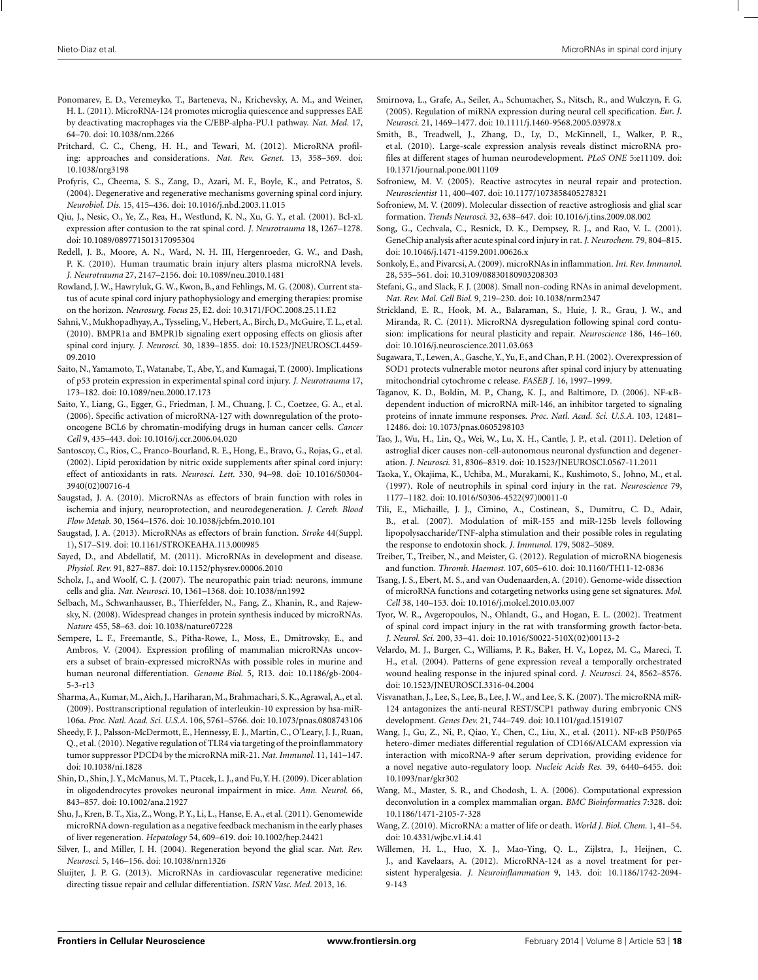- <span id="page-17-0"></span>Ponomarev, E. D., Veremeyko, T., Barteneva, N., Krichevsky, A. M., and Weiner, H. L. (2011). MicroRNA-124 promotes microglia quiescence and suppresses EAE by deactivating macrophages via the C/EBP-alpha-PU.1 pathway. *Nat. Med.* 17, 64–70. doi: 10.1038/nm.2266
- Pritchard, C. C., Cheng, H. H., and Tewari, M. (2012). MicroRNA profiling: approaches and considerations. *Nat. Rev. Genet.* 13, 358–369. doi: 10.1038/nrg3198
- Profyris, C., Cheema, S. S., Zang, D., Azari, M. F., Boyle, K., and Petratos, S. (2004). Degenerative and regenerative mechanisms governing spinal cord injury. *Neurobiol. Dis.* 15, 415–436. doi: 10.1016/j.nbd.2003.11.015
- Qiu, J., Nesic, O., Ye, Z., Rea, H., Westlund, K. N., Xu, G. Y., et al. (2001). Bcl-xL expression after contusion to the rat spinal cord. *J. Neurotrauma* 18, 1267–1278. doi: 10.1089/089771501317095304
- Redell, J. B., Moore, A. N., Ward, N. H. III, Hergenroeder, G. W., and Dash, P. K. (2010). Human traumatic brain injury alters plasma microRNA levels. *J. Neurotrauma* 27, 2147–2156. doi: 10.1089/neu.2010.1481
- Rowland, J. W., Hawryluk, G. W., Kwon, B., and Fehlings, M. G. (2008). Current status of acute spinal cord injury pathophysiology and emerging therapies: promise on the horizon. *Neurosurg. Focus* 25, E2. doi: 10.3171/FOC.2008.25.11.E2
- Sahni,V., Mukhopadhyay, A., Tysseling,V., Hebert, A., Birch, D., McGuire, T. L., et al. (2010). BMPR1a and BMPR1b signaling exert opposing effects on gliosis after spinal cord injury. *J. Neurosci.* 30, 1839–1855. doi: 10.1523/JNEUROSCI.4459- 09.2010
- Saito, N., Yamamoto, T.,Watanabe, T., Abe, Y., and Kumagai, T. (2000). Implications of p53 protein expression in experimental spinal cord injury. *J. Neurotrauma* 17, 173–182. doi: 10.1089/neu.2000.17.173
- Saito, Y., Liang, G., Egger, G., Friedman, J. M., Chuang, J. C., Coetzee, G. A., et al. (2006). Specific activation of microRNA-127 with downregulation of the protooncogene BCL6 by chromatin-modifying drugs in human cancer cells. *Cancer Cell* 9, 435–443. doi: 10.1016/j.ccr.2006.04.020
- Santoscoy, C., Rios, C., Franco-Bourland, R. E., Hong, E., Bravo, G., Rojas, G., et al. (2002). Lipid peroxidation by nitric oxide supplements after spinal cord injury: effect of antioxidants in rats. *Neurosci. Lett.* 330, 94–98. doi: 10.1016/S0304- 3940(02)00716-4
- Saugstad, J. A. (2010). MicroRNAs as effectors of brain function with roles in ischemia and injury, neuroprotection, and neurodegeneration. *J. Cereb. Blood Flow Metab.* 30, 1564–1576. doi: 10.1038/jcbfm.2010.101
- Saugstad, J. A. (2013). MicroRNAs as effectors of brain function. *Stroke* 44(Suppl. 1), S17–S19. doi: 10.1161/STROKEAHA.113.000985
- Sayed, D., and Abdellatif, M. (2011). MicroRNAs in development and disease. *Physiol. Rev.* 91, 827–887. doi: 10.1152/physrev.00006.2010
- Scholz, J., and Woolf, C. J. (2007). The neuropathic pain triad: neurons, immune cells and glia. *Nat. Neurosci.* 10, 1361–1368. doi: 10.1038/nn1992
- Selbach, M., Schwanhausser, B., Thierfelder, N., Fang, Z., Khanin, R., and Rajewsky, N. (2008). Widespread changes in protein synthesis induced by microRNAs. *Nature* 455, 58–63. doi: 10.1038/nature07228
- Sempere, L. F., Freemantle, S., Pitha-Rowe, I., Moss, E., Dmitrovsky, E., and Ambros, V. (2004). Expression profiling of mammalian microRNAs uncovers a subset of brain-expressed microRNAs with possible roles in murine and human neuronal differentiation. *Genome Biol.* 5, R13. doi: 10.1186/gb-2004- 5-3-r13
- Sharma, A., Kumar, M., Aich, J., Hariharan, M., Brahmachari, S. K., Agrawal, A., et al. (2009). Posttranscriptional regulation of interleukin-10 expression by hsa-miR-106a. *Proc. Natl. Acad. Sci. U.S.A.* 106, 5761–5766. doi: 10.1073/pnas.0808743106
- Sheedy, F. J., Palsson-McDermott, E., Hennessy, E. J., Martin, C., O'Leary, J. J., Ruan, Q., et al. (2010). Negative regulation of TLR4 via targeting of the proinflammatory tumor suppressor PDCD4 by the microRNA miR-21. *Nat. Immunol.* 11, 141–147. doi: 10.1038/ni.1828
- Shin, D., Shin, J.Y.,McManus,M. T., Ptacek, L. J., and Fu,Y. H. (2009). Dicer ablation in oligodendrocytes provokes neuronal impairment in mice. *Ann. Neurol.* 66, 843–857. doi: 10.1002/ana.21927
- Shu, J., Kren, B. T., Xia, Z.,Wong, P. Y., Li, L., Hanse, E. A., et al. (2011). Genomewide microRNA down-regulation as a negative feedback mechanism in the early phases of liver regeneration. *Hepatology* 54, 609–619. doi: 10.1002/hep.24421
- Silver, J., and Miller, J. H. (2004). Regeneration beyond the glial scar. *Nat. Rev. Neurosci.* 5, 146–156. doi: 10.1038/nrn1326
- Sluijter, J. P. G. (2013). MicroRNAs in cardiovascular regenerative medicine: directing tissue repair and cellular differentiation. *ISRN Vasc. Med.* 2013, 16.
- Smirnova, L., Grafe, A., Seiler, A., Schumacher, S., Nitsch, R., and Wulczyn, F. G. (2005). Regulation of miRNA expression during neural cell specification. *Eur. J. Neurosci.* 21, 1469–1477. doi: 10.1111/j.1460-9568.2005.03978.x
- Smith, B., Treadwell, J., Zhang, D., Ly, D., McKinnell, I., Walker, P. R., et al. (2010). Large-scale expression analysis reveals distinct microRNA profiles at different stages of human neurodevelopment. *PLoS ONE* 5:e11109. doi: 10.1371/journal.pone.0011109
- Sofroniew, M. V. (2005). Reactive astrocytes in neural repair and protection. *Neuroscientist* 11, 400–407. doi: 10.1177/1073858405278321
- Sofroniew, M. V. (2009). Molecular dissection of reactive astrogliosis and glial scar formation. *Trends Neurosci.* 32, 638–647. doi: 10.1016/j.tins.2009.08.002
- Song, G., Cechvala, C., Resnick, D. K., Dempsey, R. J., and Rao, V. L. (2001). GeneChip analysis after acute spinal cord injury in rat. *J. Neurochem.* 79, 804–815. doi: 10.1046/j.1471-4159.2001.00626.x
- Sonkoly, E., and Pivarcsi, A. (2009). microRNAs in inflammation. *Int. Rev. Immunol.* 28, 535–561. doi: 10.3109/08830180903208303
- Stefani, G., and Slack, F. J. (2008). Small non-coding RNAs in animal development. *Nat. Rev. Mol. Cell Biol.* 9, 219–230. doi: 10.1038/nrm2347
- Strickland, E. R., Hook, M. A., Balaraman, S., Huie, J. R., Grau, J. W., and Miranda, R. C. (2011). MicroRNA dysregulation following spinal cord contusion: implications for neural plasticity and repair. *Neuroscience* 186, 146–160. doi: 10.1016/j.neuroscience.2011.03.063
- Sugawara, T., Lewen, A., Gasche, Y., Yu, F., and Chan, P. H. (2002). Overexpression of SOD1 protects vulnerable motor neurons after spinal cord injury by attenuating mitochondrial cytochrome c release. *FASEB J.* 16, 1997–1999.
- Taganov, K. D., Boldin, M. P., Chang, K. J., and Baltimore, D. (2006). NF-κBdependent induction of microRNA miR-146, an inhibitor targeted to signaling proteins of innate immune responses. *Proc. Natl. Acad. Sci. U.S.A.* 103, 12481– 12486. doi: 10.1073/pnas.0605298103
- Tao, J., Wu, H., Lin, Q., Wei, W., Lu, X. H., Cantle, J. P., et al. (2011). Deletion of astroglial dicer causes non-cell-autonomous neuronal dysfunction and degeneration. *J. Neurosci.* 31, 8306–8319. doi: 10.1523/JNEUROSCI.0567-11.2011
- Taoka, Y., Okajima, K., Uchiba, M., Murakami, K., Kushimoto, S., Johno, M., et al. (1997). Role of neutrophils in spinal cord injury in the rat. *Neuroscience* 79, 1177–1182. doi: 10.1016/S0306-4522(97)00011-0
- Tili, E., Michaille, J. J., Cimino, A., Costinean, S., Dumitru, C. D., Adair, B., et al. (2007). Modulation of miR-155 and miR-125b levels following lipopolysaccharide/TNF-alpha stimulation and their possible roles in regulating the response to endotoxin shock. *J. Immunol.* 179, 5082–5089.
- Treiber, T., Treiber, N., and Meister, G. (2012). Regulation of microRNA biogenesis and function. *Thromb. Haemost.* 107, 605–610. doi: 10.1160/TH11-12-0836
- Tsang, J. S., Ebert, M. S., and van Oudenaarden, A. (2010). Genome-wide dissection of microRNA functions and cotargeting networks using gene set signatures. *Mol. Cell* 38, 140–153. doi: 10.1016/j.molcel.2010.03.007
- Tyor, W. R., Avgeropoulos, N., Ohlandt, G., and Hogan, E. L. (2002). Treatment of spinal cord impact injury in the rat with transforming growth factor-beta. *J. Neurol. Sci.* 200, 33–41. doi: 10.1016/S0022-510X(02)00113-2
- Velardo, M. J., Burger, C., Williams, P. R., Baker, H. V., Lopez, M. C., Mareci, T. H., et al. (2004). Patterns of gene expression reveal a temporally orchestrated wound healing response in the injured spinal cord. *J. Neurosci.* 24, 8562–8576. doi: 10.1523/JNEUROSCI.3316-04.2004
- Visvanathan, J., Lee, S., Lee, B., Lee, J. W., and Lee, S. K. (2007). The microRNA miR-124 antagonizes the anti-neural REST/SCP1 pathway during embryonic CNS development. *Genes Dev.* 21, 744–749. doi: 10.1101/gad.1519107
- Wang, J., Gu, Z., Ni, P., Qiao, Y., Chen, C., Liu, X., et al. (2011). NF-κB P50/P65 hetero-dimer mediates differential regulation of CD166/ALCAM expression via interaction with micoRNA-9 after serum deprivation, providing evidence for a novel negative auto-regulatory loop. *Nucleic Acids Res.* 39, 6440–6455. doi: 10.1093/nar/gkr302
- Wang, M., Master, S. R., and Chodosh, L. A. (2006). Computational expression deconvolution in a complex mammalian organ. *BMC Bioinformatics* 7:328. doi: 10.1186/1471-2105-7-328
- Wang, Z. (2010). MicroRNA: a matter of life or death. *World J. Biol. Chem.* 1, 41–54. doi: 10.4331/wjbc.v1.i4.41
- Willemen, H. L., Huo, X. J., Mao-Ying, Q. L., Zijlstra, J., Heijnen, C. J., and Kavelaars, A. (2012). MicroRNA-124 as a novel treatment for persistent hyperalgesia. *J. Neuroinflammation* 9, 143. doi: 10.1186/1742-2094- 9-143